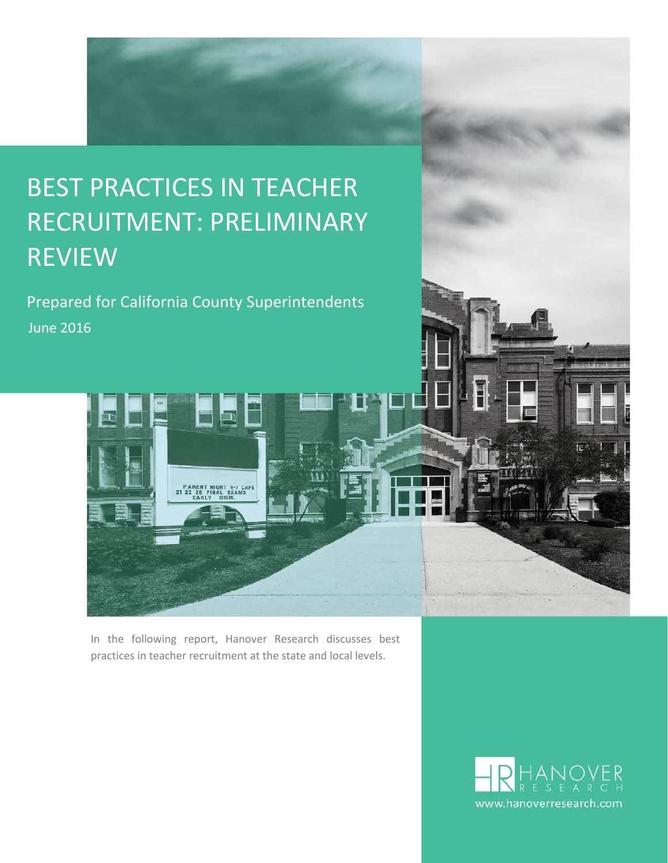# BEST PRACTICES IN TEACHER RECRUITMENT: PRELIMINARY REVIEW

Prepared for California County Superintendents June 2016



In the following report, Hanover Research discusses best practices in teacher recruitment at the state and local levels.

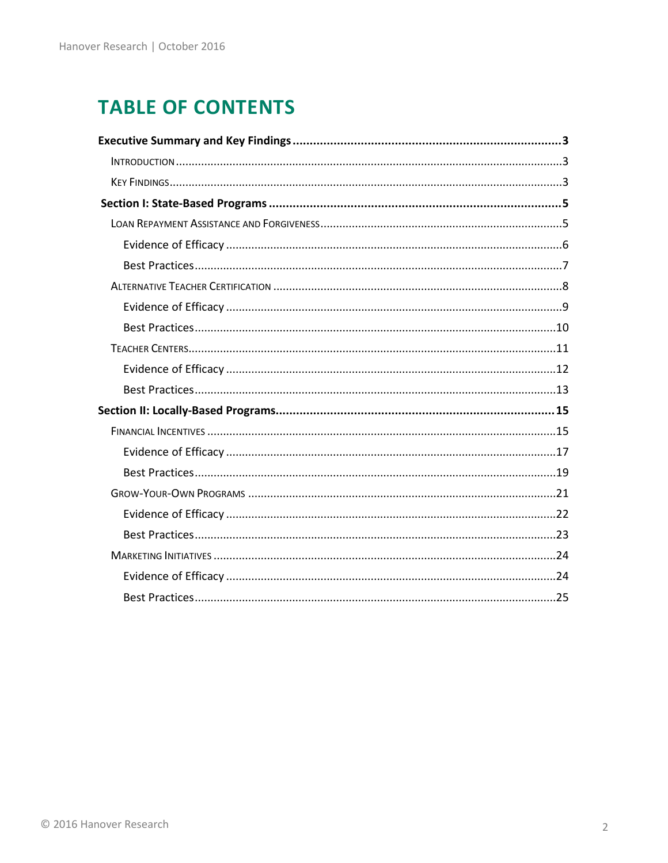# **TABLE OF CONTENTS**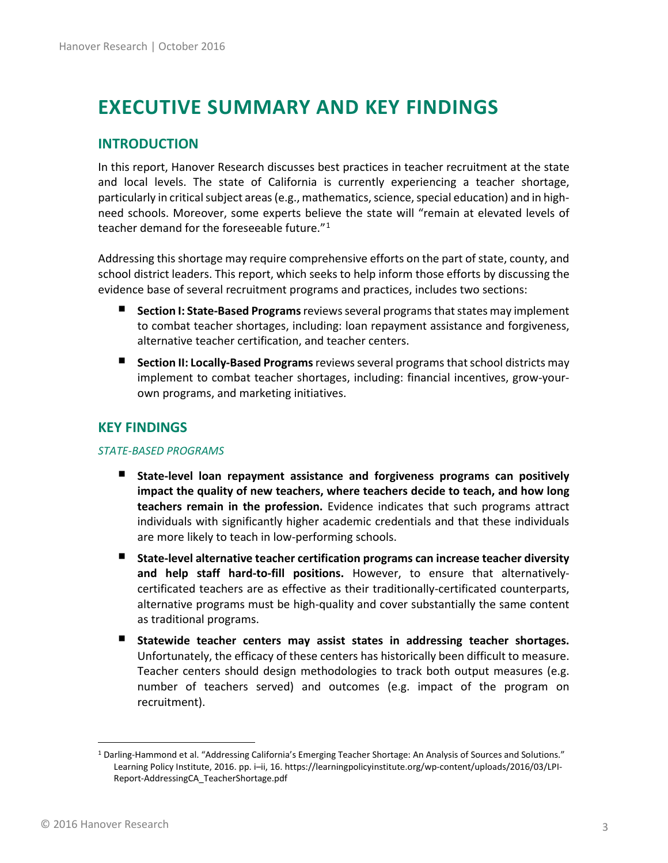# <span id="page-2-0"></span>**EXECUTIVE SUMMARY AND KEY FINDINGS**

## <span id="page-2-1"></span>**INTRODUCTION**

In this report, Hanover Research discusses best practices in teacher recruitment at the state and local levels. The state of California is currently experiencing a teacher shortage, particularly in critical subject areas (e.g., mathematics, science, special education) and in highneed schools. Moreover, some experts believe the state will "remain at elevated levels of teacher demand for the foreseeable future."[1](#page-2-3)

Addressing this shortage may require comprehensive efforts on the part of state, county, and school district leaders. This report, which seeks to help inform those efforts by discussing the evidence base of several recruitment programs and practices, includes two sections:

- **Section I: State-Based Programs**reviews several programs that states may implement to combat teacher shortages, including: loan repayment assistance and forgiveness, alternative teacher certification, and teacher centers.
- **Section II: Locally-Based Programs**reviews several programs that school districts may implement to combat teacher shortages, including: financial incentives, grow-yourown programs, and marketing initiatives.

## <span id="page-2-2"></span>**KEY FINDINGS**

#### *STATE-BASED PROGRAMS*

- **State-level loan repayment assistance and forgiveness programs can positively impact the quality of new teachers, where teachers decide to teach, and how long teachers remain in the profession.** Evidence indicates that such programs attract individuals with significantly higher academic credentials and that these individuals are more likely to teach in low-performing schools.
- . **State-level alternative teacher certification programs can increase teacher diversity and help staff hard-to-fill positions.** However, to ensure that alternativelycertificated teachers are as effective as their traditionally-certificated counterparts, alternative programs must be high-quality and cover substantially the same content as traditional programs.
- **Statewide teacher centers may assist states in addressing teacher shortages.**  Unfortunately, the efficacy of these centers has historically been difficult to measure. Teacher centers should design methodologies to track both output measures (e.g. number of teachers served) and outcomes (e.g. impact of the program on recruitment).

<span id="page-2-3"></span><sup>&</sup>lt;sup>1</sup> Darling-Hammond et al. "Addressing California's Emerging Teacher Shortage: An Analysis of Sources and Solutions." Learning Policy Institute, 2016. pp. i–ii, 16. https://learningpolicyinstitute.org/wp-content/uploads/2016/03/LPI-Report-AddressingCA\_TeacherShortage.pdf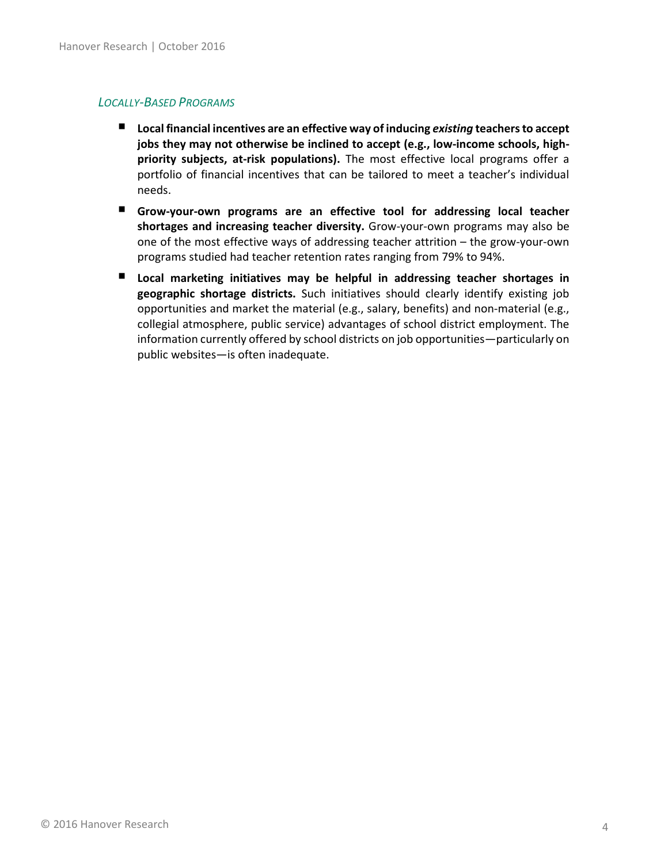#### *LOCALLY-BASED PROGRAMS*

- Local financial incentives are an effective way of inducing *existing* teachers to accept **jobs they may not otherwise be inclined to accept (e.g., low-income schools, highpriority subjects, at-risk populations).** The most effective local programs offer a portfolio of financial incentives that can be tailored to meet a teacher's individual needs.
- **Grow-your-own programs are an effective tool for addressing local teacher shortages and increasing teacher diversity.** Grow-your-own programs may also be one of the most effective ways of addressing teacher attrition – the grow-your-own programs studied had teacher retention rates ranging from 79% to 94%.
- **Local marketing initiatives may be helpful in addressing teacher shortages in geographic shortage districts.** Such initiatives should clearly identify existing job opportunities and market the material (e.g., salary, benefits) and non-material (e.g., collegial atmosphere, public service) advantages of school district employment. The information currently offered by school districts on job opportunities—particularly on public websites—is often inadequate.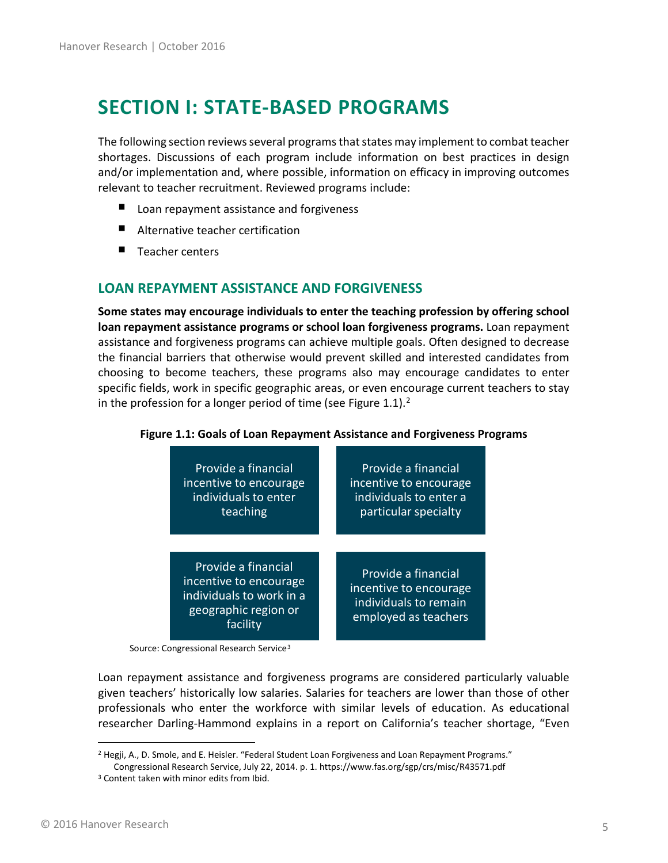# <span id="page-4-0"></span>**SECTION I: STATE-BASED PROGRAMS**

The following section reviews several programs that states may implement to combat teacher shortages. Discussions of each program include information on best practices in design and/or implementation and, where possible, information on efficacy in improving outcomes relevant to teacher recruitment. Reviewed programs include:

- Loan repayment assistance and forgiveness
- $\blacksquare$ Alternative teacher certification
- ٠ Teacher centers

### <span id="page-4-1"></span>**LOAN REPAYMENT ASSISTANCE AND FORGIVENESS**

**Some states may encourage individuals to enter the teaching profession by offering school loan repayment assistance programs or school loan forgiveness programs.** Loan repayment assistance and forgiveness programs can achieve multiple goals. Often designed to decrease the financial barriers that otherwise would prevent skilled and interested candidates from choosing to become teachers, these programs also may encourage candidates to enter specific fields, work in specific geographic areas, or even encourage current teachers to stay in the profession for a longer period of time (see Figure 1.1).<sup>[2](#page-4-2)</sup>



#### **Figure 1.1: Goals of Loan Repayment Assistance and Forgiveness Programs**

Source: Congressional Research Service<sup>[3](#page-4-3)</sup>

Loan repayment assistance and forgiveness programs are considered particularly valuable given teachers' historically low salaries. Salaries for teachers are lower than those of other professionals who enter the workforce with similar levels of education. As educational researcher Darling-Hammond explains in a report on California's teacher shortage, "Even

<span id="page-4-2"></span><sup>&</sup>lt;sup>2</sup> Hegji, A., D. Smole, and E. Heisler. "Federal Student Loan Forgiveness and Loan Repayment Programs."

Congressional Research Service, July 22, 2014. p. 1. https://www.fas.org/sgp/crs/misc/R43571.pdf

<span id="page-4-3"></span><sup>&</sup>lt;sup>3</sup> Content taken with minor edits from Ibid.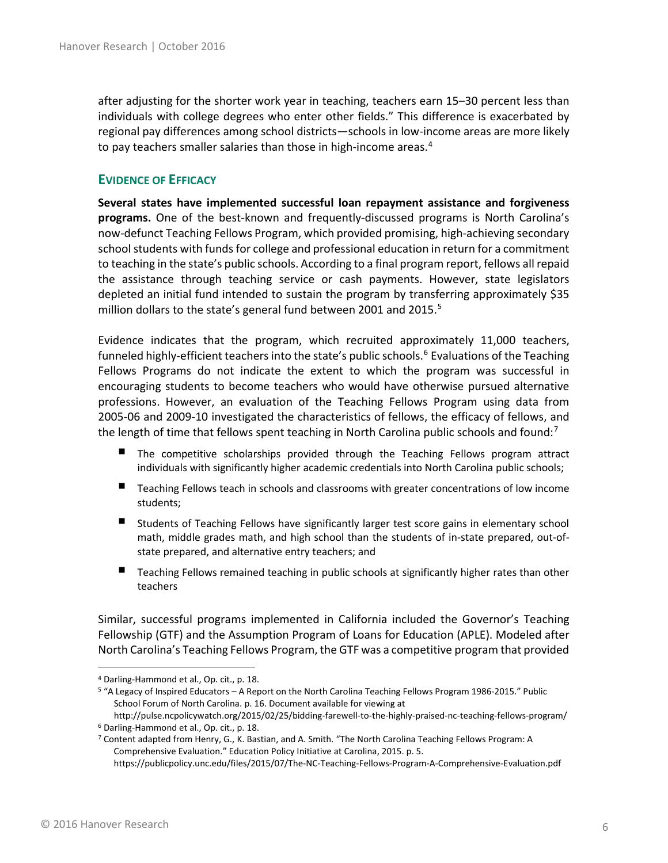after adjusting for the shorter work year in teaching, teachers earn 15–30 percent less than individuals with college degrees who enter other fields." This difference is exacerbated by regional pay differences among school districts—schools in low-income areas are more likely to pay teachers smaller salaries than those in high-income areas. $4$ 

#### <span id="page-5-0"></span>**EVIDENCE OF EFFICACY**

**Several states have implemented successful loan repayment assistance and forgiveness programs.** One of the best-known and frequently-discussed programs is North Carolina's now-defunct Teaching Fellows Program, which provided promising, high-achieving secondary school students with funds for college and professional education in return for a commitment to teaching in the state's public schools. According to a final program report, fellows all repaid the assistance through teaching service or cash payments. However, state legislators depleted an initial fund intended to sustain the program by transferring approximately \$35 million dollars to the state's general fund between 2001 and 201[5](#page-5-2).<sup>5</sup>

Evidence indicates that the program, which recruited approximately 11,000 teachers, funneled highly-efficient teachers into the state's public schools.<sup>[6](#page-5-3)</sup> Evaluations of the Teaching Fellows Programs do not indicate the extent to which the program was successful in encouraging students to become teachers who would have otherwise pursued alternative professions. However, an evaluation of the Teaching Fellows Program using data from 2005-06 and 2009-10 investigated the characteristics of fellows, the efficacy of fellows, and the length of time that fellows spent teaching in North Carolina public schools and found:<sup>[7](#page-5-4)</sup>

- The competitive scholarships provided through the Teaching Fellows program attract individuals with significantly higher academic credentials into North Carolina public schools;
- **Teaching Fellows teach in schools and classrooms with greater concentrations of low income** students;
- **Students of Teaching Fellows have significantly larger test score gains in elementary school** math, middle grades math, and high school than the students of in-state prepared, out-ofstate prepared, and alternative entry teachers; and
- ٠ Teaching Fellows remained teaching in public schools at significantly higher rates than other teachers

Similar, successful programs implemented in California included the Governor's Teaching Fellowship (GTF) and the Assumption Program of Loans for Education (APLE). Modeled after North Carolina's Teaching Fellows Program, the GTF was a competitive program that provided

<span id="page-5-1"></span> <sup>4</sup> Darling-Hammond et al., Op. cit., p. 18.

<span id="page-5-2"></span><sup>&</sup>lt;sup>5</sup> "A Legacy of Inspired Educators - A Report on the North Carolina Teaching Fellows Program 1986-2015." Public School Forum of North Carolina. p. 16. Document available for viewing at

<span id="page-5-3"></span>http://pulse.ncpolicywatch.org/2015/02/25/bidding-farewell-to-the-highly-praised-nc-teaching-fellows-program/ <sup>6</sup> Darling-Hammond et al., Op. cit., p. 18.

<span id="page-5-4"></span><sup>7</sup> Content adapted from Henry, G., K. Bastian, and A. Smith. "The North Carolina Teaching Fellows Program: A Comprehensive Evaluation." Education Policy Initiative at Carolina, 2015. p. 5.

https://publicpolicy.unc.edu/files/2015/07/The-NC-Teaching-Fellows-Program-A-Comprehensive-Evaluation.pdf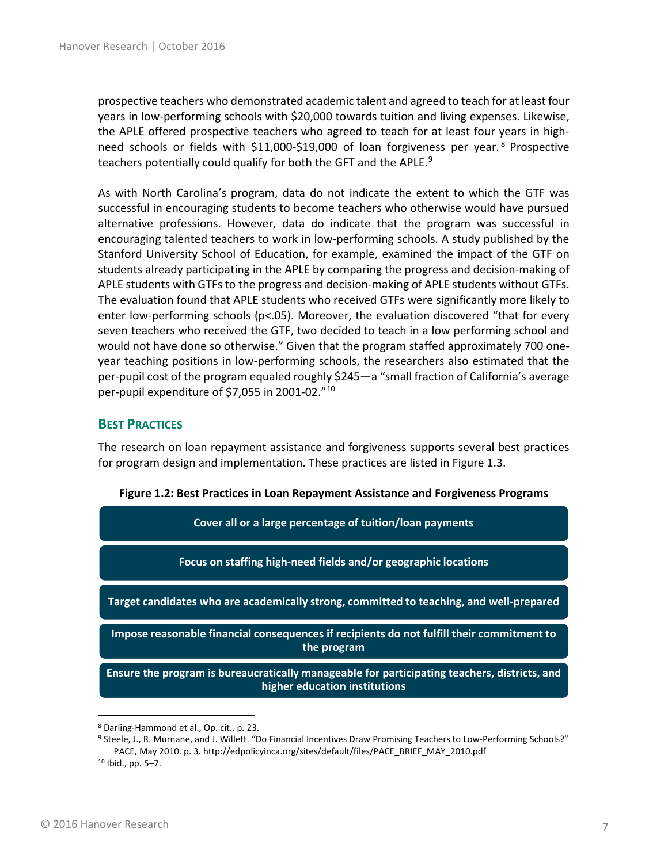prospective teachers who demonstrated academic talent and agreed to teach for at least four years in low-performing schools with \$20,000 towards tuition and living expenses. Likewise, the APLE offered prospective teachers who agreed to teach for at least four years in high-need schools or fields with \$11,000-\$19,000 of loan forgiveness per year.<sup>[8](#page-6-1)</sup> Prospective teachers potentially could qualify for both the GFT and the APLE.<sup>[9](#page-6-2)</sup>

As with North Carolina's program, data do not indicate the extent to which the GTF was successful in encouraging students to become teachers who otherwise would have pursued alternative professions. However, data do indicate that the program was successful in encouraging talented teachers to work in low-performing schools. A study published by the Stanford University School of Education, for example, examined the impact of the GTF on students already participating in the APLE by comparing the progress and decision-making of APLE students with GTFs to the progress and decision-making of APLE students without GTFs. The evaluation found that APLE students who received GTFs were significantly more likely to enter low-performing schools ( $p<0.05$ ). Moreover, the evaluation discovered "that for every seven teachers who received the GTF, two decided to teach in a low performing school and would not have done so otherwise." Given that the program staffed approximately 700 oneyear teaching positions in low-performing schools, the researchers also estimated that the per-pupil cost of the program equaled roughly \$245—a "small fraction of California's average per-pupil expenditure of \$7,055 in 2001-02."[10](#page-6-3)

### <span id="page-6-0"></span>**BEST PRACTICES**

The research on loan repayment assistance and forgiveness supports several best practices for program design and implementation. These practices are listed in Figure 1.3.

| Cover all or a large percentage of tuition/loan payments                                                                      |  |
|-------------------------------------------------------------------------------------------------------------------------------|--|
| Focus on staffing high-need fields and/or geographic locations                                                                |  |
| Target candidates who are academically strong, committed to teaching, and well-prepared                                       |  |
| Impose reasonable financial consequences if recipients do not fulfill their commitment to<br>the program                      |  |
| Ensure the program is bureaucratically manageable for participating teachers, districts, and<br>higher education institutions |  |

**Figure 1.2: Best Practices in Loan Repayment Assistance and Forgiveness Programs**

<span id="page-6-2"></span><span id="page-6-1"></span> <sup>8</sup> Darling-Hammond et al., Op. cit., p. 23.

<span id="page-6-3"></span><sup>9</sup> Steele, J., R. Murnane, and J. Willett. "Do Financial Incentives Draw Promising Teachers to Low-Performing Schools?" PACE, May 2010. p. 3. http://edpolicyinca.org/sites/default/files/PACE\_BRIEF\_MAY\_2010.pdf <sup>10</sup> Ibid., pp. 5–7.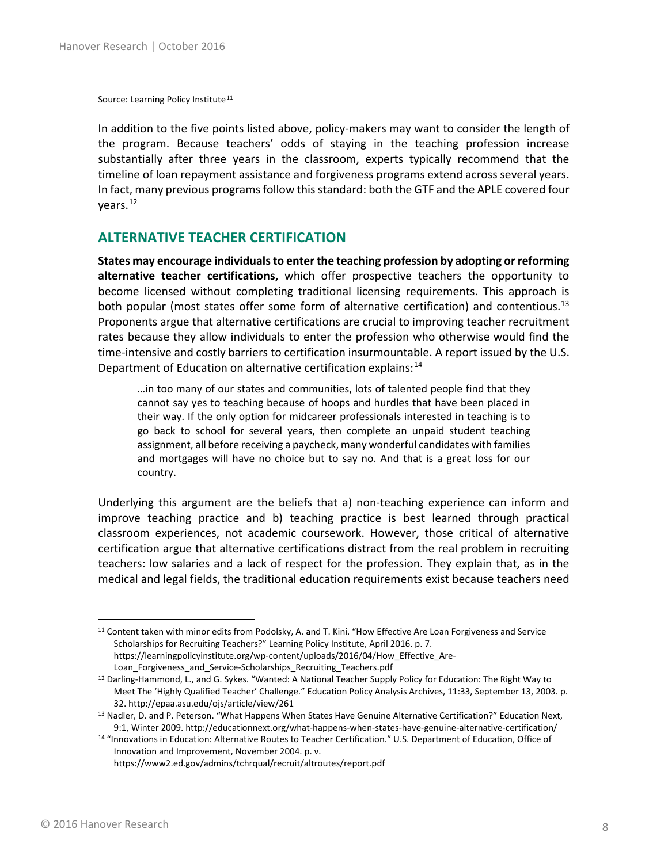Source: Learning Policy Institute<sup>[11](#page-7-1)</sup>

In addition to the five points listed above, policy-makers may want to consider the length of the program. Because teachers' odds of staying in the teaching profession increase substantially after three years in the classroom, experts typically recommend that the timeline of loan repayment assistance and forgiveness programs extend across several years. In fact, many previous programs follow this standard: both the GTF and the APLE covered four vears.<sup>[12](#page-7-2)</sup>

#### <span id="page-7-0"></span>**ALTERNATIVE TEACHER CERTIFICATION**

**States may encourage individuals to enter the teaching profession by adopting or reforming alternative teacher certifications,** which offer prospective teachers the opportunity to become licensed without completing traditional licensing requirements. This approach is both popular (most states offer some form of alternative certification) and contentious.<sup>[13](#page-7-3)</sup> Proponents argue that alternative certifications are crucial to improving teacher recruitment rates because they allow individuals to enter the profession who otherwise would find the time-intensive and costly barriers to certification insurmountable. A report issued by the U.S. Department of Education on alternative certification explains:<sup>[14](#page-7-4)</sup>

…in too many of our states and communities, lots of talented people find that they cannot say yes to teaching because of hoops and hurdles that have been placed in their way. If the only option for midcareer professionals interested in teaching is to go back to school for several years, then complete an unpaid student teaching assignment, all before receiving a paycheck, many wonderful candidates with families and mortgages will have no choice but to say no. And that is a great loss for our country.

Underlying this argument are the beliefs that a) non-teaching experience can inform and improve teaching practice and b) teaching practice is best learned through practical classroom experiences, not academic coursework. However, those critical of alternative certification argue that alternative certifications distract from the real problem in recruiting teachers: low salaries and a lack of respect for the profession. They explain that, as in the medical and legal fields, the traditional education requirements exist because teachers need

https://www2.ed.gov/admins/tchrqual/recruit/altroutes/report.pdf

<span id="page-7-1"></span><sup>&</sup>lt;sup>11</sup> Content taken with minor edits from Podolsky, A. and T. Kini. "How Effective Are Loan Forgiveness and Service Scholarships for Recruiting Teachers?" Learning Policy Institute, April 2016. p. 7. https://learningpolicyinstitute.org/wp-content/uploads/2016/04/How\_Effective\_Are-

Loan Forgiveness and Service-Scholarships Recruiting Teachers.pdf

<span id="page-7-2"></span><sup>&</sup>lt;sup>12</sup> Darling-Hammond, L., and G. Sykes. "Wanted: A National Teacher Supply Policy for Education: The Right Way to Meet The 'Highly Qualified Teacher' Challenge." Education Policy Analysis Archives, 11:33, September 13, 2003. p. 32. http://epaa.asu.edu/ojs/article/view/261

<span id="page-7-3"></span><sup>13</sup> Nadler, D. and P. Peterson. "What Happens When States Have Genuine Alternative Certification?" Education Next, 9:1, Winter 2009. http://educationnext.org/what-happens-when-states-have-genuine-alternative-certification/

<span id="page-7-4"></span><sup>14</sup> "Innovations in Education: Alternative Routes to Teacher Certification." U.S. Department of Education, Office of Innovation and Improvement, November 2004. p. v.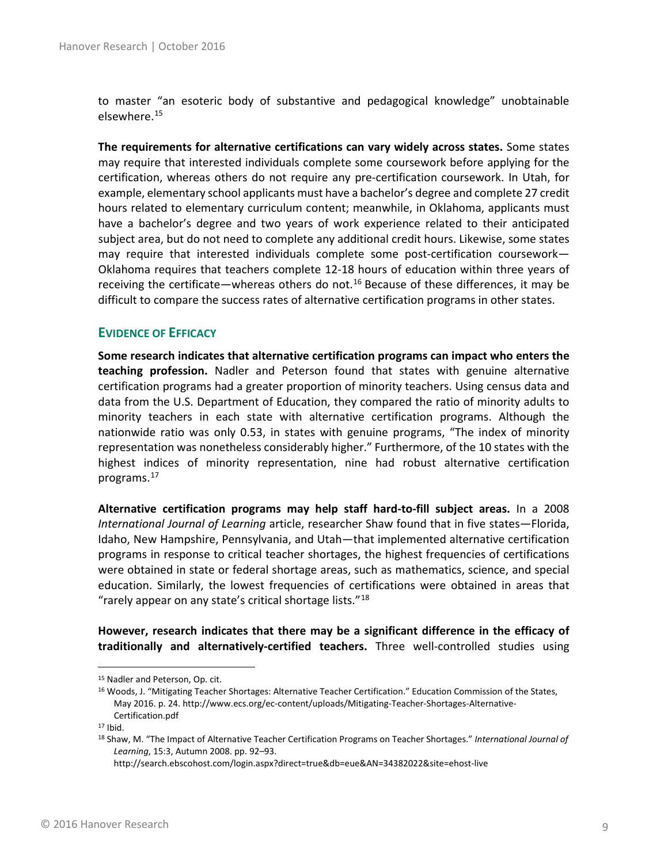to master "an esoteric body of substantive and pedagogical knowledge" unobtainable elsewhere.[15](#page-8-1)

**The requirements for alternative certifications can vary widely across states.** Some states may require that interested individuals complete some coursework before applying for the certification, whereas others do not require any pre-certification coursework. In Utah, for example, elementary school applicants must have a bachelor's degree and complete 27 credit hours related to elementary curriculum content; meanwhile, in Oklahoma, applicants must have a bachelor's degree and two years of work experience related to their anticipated subject area, but do not need to complete any additional credit hours. Likewise, some states may require that interested individuals complete some post-certification coursework— Oklahoma requires that teachers complete 12-18 hours of education within three years of receiving the certificate—whereas others do not.<sup>[16](#page-8-2)</sup> Because of these differences, it may be difficult to compare the success rates of alternative certification programs in other states.

#### <span id="page-8-0"></span>**EVIDENCE OF EFFICACY**

**Some research indicates that alternative certification programs can impact who enters the teaching profession.** Nadler and Peterson found that states with genuine alternative certification programs had a greater proportion of minority teachers. Using census data and data from the U.S. Department of Education, they compared the ratio of minority adults to minority teachers in each state with alternative certification programs. Although the nationwide ratio was only 0.53, in states with genuine programs, "The index of minority representation was nonetheless considerably higher." Furthermore, of the 10 states with the highest indices of minority representation, nine had robust alternative certification programs.[17](#page-8-3) 

**Alternative certification programs may help staff hard-to-fill subject areas.** In a 2008 *International Journal of Learning* article, researcher Shaw found that in five states—Florida, Idaho, New Hampshire, Pennsylvania, and Utah—that implemented alternative certification programs in response to critical teacher shortages, the highest frequencies of certifications were obtained in state or federal shortage areas, such as mathematics, science, and special education. Similarly, the lowest frequencies of certifications were obtained in areas that "rarely appear on any state's critical shortage lists."[18](#page-8-4)

**However, research indicates that there may be a significant difference in the efficacy of traditionally and alternatively-certified teachers.** Three well-controlled studies using

http://search.ebscohost.com/login.aspx?direct=true&db=eue&AN=34382022&site=ehost-live

<span id="page-8-1"></span> <sup>15</sup> Nadler and Peterson, Op. cit.

<span id="page-8-2"></span><sup>16</sup> Woods, J. "Mitigating Teacher Shortages: Alternative Teacher Certification." Education Commission of the States, May 2016. p. 24. http://www.ecs.org/ec-content/uploads/Mitigating-Teacher-Shortages-Alternative-Certification.pdf

<span id="page-8-3"></span> $17$  Ibid.

<span id="page-8-4"></span><sup>18</sup> Shaw, M. "The Impact of Alternative Teacher Certification Programs on Teacher Shortages." *International Journal of Learning*, 15:3, Autumn 2008. pp. 92–93.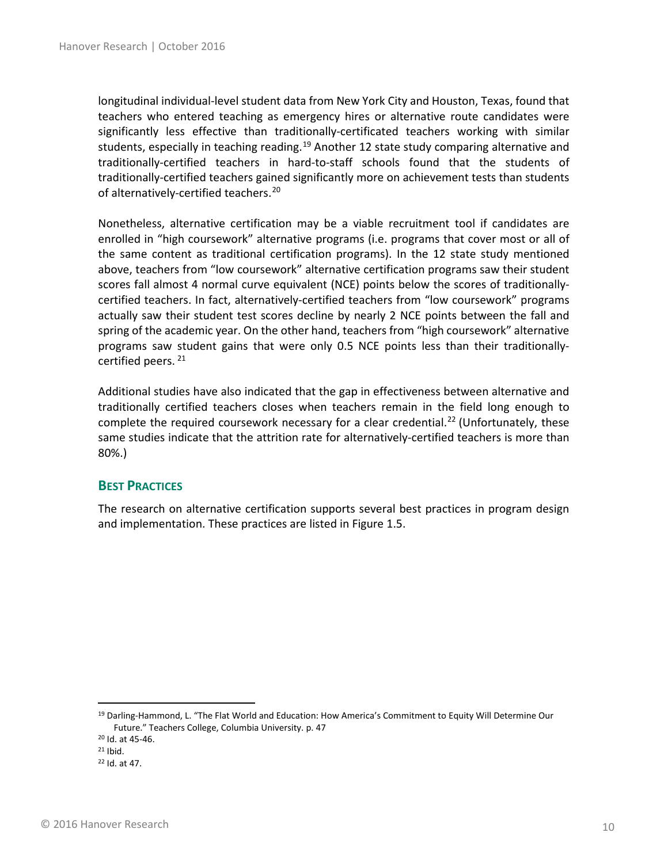longitudinal individual-level student data from New York City and Houston, Texas, found that teachers who entered teaching as emergency hires or alternative route candidates were significantly less effective than traditionally-certificated teachers working with similar students, especially in teaching reading.<sup>[19](#page-9-1)</sup> Another 12 state study comparing alternative and traditionally-certified teachers in hard-to-staff schools found that the students of traditionally-certified teachers gained significantly more on achievement tests than students of alternatively-certified teachers.<sup>[20](#page-9-2)</sup>

Nonetheless, alternative certification may be a viable recruitment tool if candidates are enrolled in "high coursework" alternative programs (i.e. programs that cover most or all of the same content as traditional certification programs). In the 12 state study mentioned above, teachers from "low coursework" alternative certification programs saw their student scores fall almost 4 normal curve equivalent (NCE) points below the scores of traditionallycertified teachers. In fact, alternatively-certified teachers from "low coursework" programs actually saw their student test scores decline by nearly 2 NCE points between the fall and spring of the academic year. On the other hand, teachers from "high coursework" alternative programs saw student gains that were only 0.5 NCE points less than their traditionally-certified peers.<sup>[21](#page-9-3)</sup>

Additional studies have also indicated that the gap in effectiveness between alternative and traditionally certified teachers closes when teachers remain in the field long enough to complete the required coursework necessary for a clear credential.<sup>[22](#page-9-4)</sup> (Unfortunately, these same studies indicate that the attrition rate for alternatively-certified teachers is more than 80%.)

#### <span id="page-9-0"></span>**BEST PRACTICES**

The research on alternative certification supports several best practices in program design and implementation. These practices are listed in Figure 1.5.

<span id="page-9-1"></span><sup>&</sup>lt;sup>19</sup> Darling-Hammond, L. "The Flat World and Education: How America's Commitment to Equity Will Determine Our Future." Teachers College, Columbia University. p. 47

<span id="page-9-2"></span><sup>20</sup> Id. at 45-46.

<span id="page-9-3"></span> $21$  Ibid.

<span id="page-9-4"></span><sup>22</sup> Id. at 47.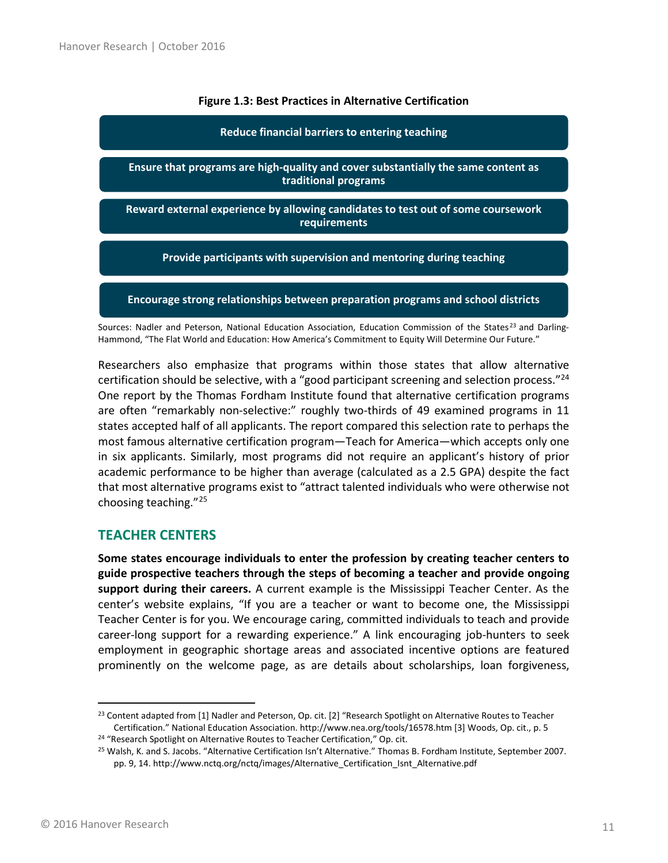#### **Figure 1.3: Best Practices in Alternative Certification**

#### **Reduce financial barriers to entering teaching**

**Ensure that programs are high-quality and cover substantially the same content as traditional programs**

**Reward external experience by allowing candidates to test out of some coursework requirements**

**Provide participants with supervision and mentoring during teaching**

**Encourage strong relationships between preparation programs and school districts**

Sources: Nadler and Peterson, National Education Association, Education Commission of the States<sup>[23](#page-10-1)</sup> and Darling-Hammond, "The Flat World and Education: How America's Commitment to Equity Will Determine Our Future."

Researchers also emphasize that programs within those states that allow alternative certification should be selective, with a "good participant screening and selection process."<sup>[24](#page-10-2)</sup> One report by the Thomas Fordham Institute found that alternative certification programs are often "remarkably non-selective:" roughly two-thirds of 49 examined programs in 11 states accepted half of all applicants. The report compared this selection rate to perhaps the most famous alternative certification program—Teach for America—which accepts only one in six applicants. Similarly, most programs did not require an applicant's history of prior academic performance to be higher than average (calculated as a 2.5 GPA) despite the fact that most alternative programs exist to "attract talented individuals who were otherwise not choosing teaching."[25](#page-10-3)

#### <span id="page-10-0"></span>**TEACHER CENTERS**

**Some states encourage individuals to enter the profession by creating teacher centers to guide prospective teachers through the steps of becoming a teacher and provide ongoing support during their careers.** A current example is the Mississippi Teacher Center. As the center's website explains, "If you are a teacher or want to become one, the Mississippi Teacher Center is for you. We encourage caring, committed individuals to teach and provide career-long support for a rewarding experience." A link encouraging job-hunters to seek employment in geographic shortage areas and associated incentive options are featured prominently on the welcome page, as are details about scholarships, loan forgiveness,

<span id="page-10-1"></span><sup>&</sup>lt;sup>23</sup> Content adapted from [1] Nadler and Peterson, Op. cit. [2] "Research Spotlight on Alternative Routes to Teacher Certification." National Education Association. http://www.nea.org/tools/16578.htm [3] Woods, Op. cit., p. 5 24 "Research Spotlight on Alternative Routes to Teacher Certification," Op. cit.

<span id="page-10-2"></span>

<span id="page-10-3"></span><sup>25</sup> Walsh, K. and S. Jacobs. "Alternative Certification Isn't Alternative." Thomas B. Fordham Institute, September 2007. pp. 9, 14. http://www.nctq.org/nctq/images/Alternative\_Certification\_Isnt\_Alternative.pdf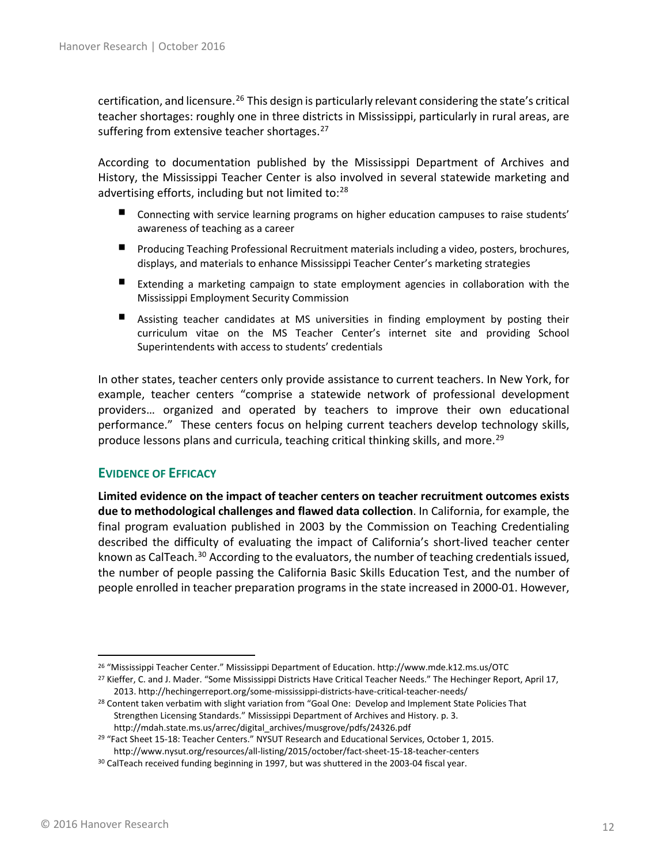certification, and licensure.<sup>[26](#page-11-1)</sup> This design is particularly relevant considering the state's critical teacher shortages: roughly one in three districts in Mississippi, particularly in rural areas, are suffering from extensive teacher shortages.<sup>[27](#page-11-2)</sup>

According to documentation published by the Mississippi Department of Archives and History, the Mississippi Teacher Center is also involved in several statewide marketing and advertising efforts, including but not limited to:<sup>[28](#page-11-3)</sup>

- Connecting with service learning programs on higher education campuses to raise students' awareness of teaching as a career
- **Producing Teaching Professional Recruitment materials including a video, posters, brochures,** displays, and materials to enhance Mississippi Teacher Center's marketing strategies
- Extending a marketing campaign to state employment agencies in collaboration with the Mississippi Employment Security Commission
- . Assisting teacher candidates at MS universities in finding employment by posting their curriculum vitae on the MS Teacher Center's internet site and providing School Superintendents with access to students' credentials

In other states, teacher centers only provide assistance to current teachers. In New York, for example, teacher centers "comprise a statewide network of professional development providers… organized and operated by teachers to improve their own educational performance." These centers focus on helping current teachers develop technology skills, produce lessons plans and curricula, teaching critical thinking skills, and more.<sup>[29](#page-11-4)</sup>

#### <span id="page-11-0"></span>**EVIDENCE OF EFFICACY**

**Limited evidence on the impact of teacher centers on teacher recruitment outcomes exists due to methodological challenges and flawed data collection**. In California, for example, the final program evaluation published in 2003 by the Commission on Teaching Credentialing described the difficulty of evaluating the impact of California's short-lived teacher center known as CalTeach.<sup>[30](#page-11-5)</sup> According to the evaluators, the number of teaching credentials issued, the number of people passing the California Basic Skills Education Test, and the number of people enrolled in teacher preparation programs in the state increased in 2000-01. However,

<span id="page-11-1"></span> <sup>26</sup> "Mississippi Teacher Center." Mississippi Department of Education. http://www.mde.k12.ms.us/OTC

<span id="page-11-2"></span><sup>&</sup>lt;sup>27</sup> Kieffer, C. and J. Mader. "Some Mississippi Districts Have Critical Teacher Needs." The Hechinger Report, April 17, 2013. http://hechingerreport.org/some-mississippi-districts-have-critical-teacher-needs/

<span id="page-11-3"></span><sup>&</sup>lt;sup>28</sup> Content taken verbatim with slight variation from "Goal One: Develop and Implement State Policies That Strengthen Licensing Standards." Mississippi Department of Archives and History. p. 3. http://mdah.state.ms.us/arrec/digital\_archives/musgrove/pdfs/24326.pdf

<span id="page-11-4"></span><sup>29</sup> "Fact Sheet 15-18: Teacher Centers." NYSUT Research and Educational Services, October 1, 2015. http://www.nysut.org/resources/all-listing/2015/october/fact-sheet-15-18-teacher-centers

<span id="page-11-5"></span><sup>&</sup>lt;sup>30</sup> CalTeach received funding beginning in 1997, but was shuttered in the 2003-04 fiscal year.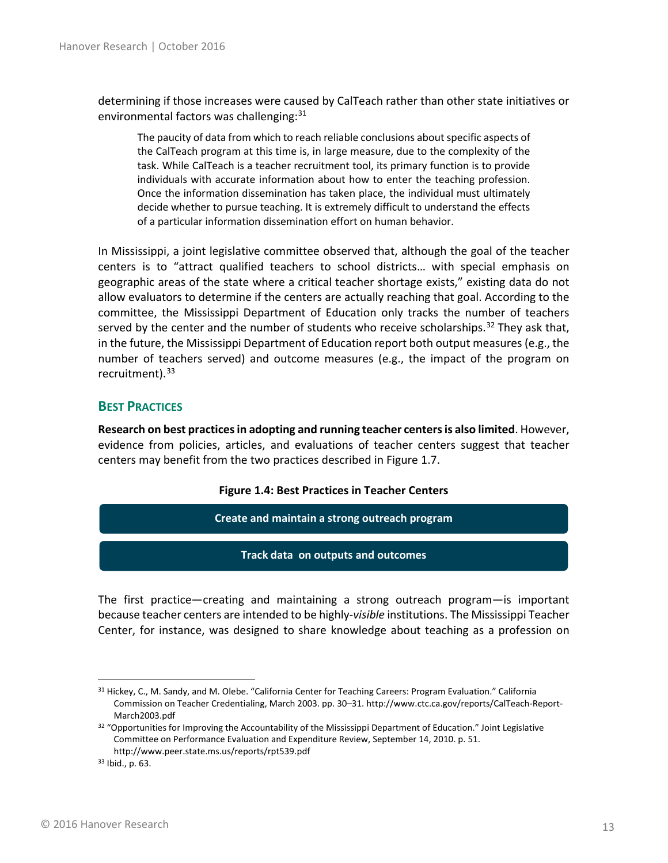determining if those increases were caused by CalTeach rather than other state initiatives or environmental factors was challenging:<sup>[31](#page-12-1)</sup>

The paucity of data from which to reach reliable conclusions about specific aspects of the CalTeach program at this time is, in large measure, due to the complexity of the task. While CalTeach is a teacher recruitment tool, its primary function is to provide individuals with accurate information about how to enter the teaching profession. Once the information dissemination has taken place, the individual must ultimately decide whether to pursue teaching. It is extremely difficult to understand the effects of a particular information dissemination effort on human behavior.

In Mississippi, a joint legislative committee observed that, although the goal of the teacher centers is to "attract qualified teachers to school districts… with special emphasis on geographic areas of the state where a critical teacher shortage exists," existing data do not allow evaluators to determine if the centers are actually reaching that goal. According to the committee, the Mississippi Department of Education only tracks the number of teachers served by the center and the number of students who receive scholarships.<sup>[32](#page-12-2)</sup> They ask that, in the future, the Mississippi Department of Education report both output measures (e.g., the number of teachers served) and outcome measures (e.g., the impact of the program on recruitment).<sup>[33](#page-12-3)</sup>

### <span id="page-12-0"></span>**BEST PRACTICES**

**Research on best practices in adopting and running teacher centers is also limited**. However, evidence from policies, articles, and evaluations of teacher centers suggest that teacher centers may benefit from the two practices described in Figure 1.7.

#### **Figure 1.4: Best Practices in Teacher Centers**

**Create and maintain a strong outreach program**

**Track data on outputs and outcomes**

The first practice—creating and maintaining a strong outreach program—is important because teacher centers are intended to be highly-*visible* institutions. The Mississippi Teacher Center, for instance, was designed to share knowledge about teaching as a profession on

<span id="page-12-1"></span><sup>31</sup> Hickey, C., M. Sandy, and M. Olebe. "California Center for Teaching Careers: Program Evaluation." California Commission on Teacher Credentialing, March 2003. pp. 30–31. http://www.ctc.ca.gov/reports/CalTeach-Report-March2003.pdf

<span id="page-12-2"></span> $32$  "Opportunities for Improving the Accountability of the Mississippi Department of Education." Joint Legislative Committee on Performance Evaluation and Expenditure Review, September 14, 2010. p. 51. http://www.peer.state.ms.us/reports/rpt539.pdf

<span id="page-12-3"></span><sup>33</sup> Ibid., p. 63.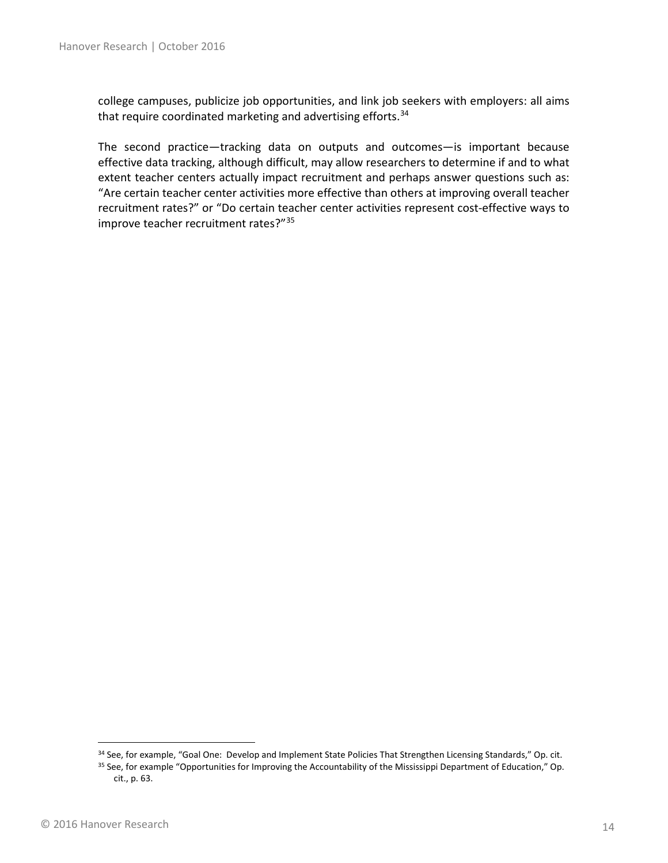college campuses, publicize job opportunities, and link job seekers with employers: all aims that require coordinated marketing and advertising efforts. [34](#page-13-0)

The second practice—tracking data on outputs and outcomes—is important because effective data tracking, although difficult, may allow researchers to determine if and to what extent teacher centers actually impact recruitment and perhaps answer questions such as: "Are certain teacher center activities more effective than others at improving overall teacher recruitment rates?" or "Do certain teacher center activities represent cost-effective ways to improve teacher recruitment rates?"[35](#page-13-1)

<sup>34</sup> See, for example, "Goal One: Develop and Implement State Policies That Strengthen Licensing Standards," Op. cit.

<span id="page-13-1"></span><span id="page-13-0"></span><sup>35</sup> See, for example "Opportunities for Improving the Accountability of the Mississippi Department of Education," Op. cit., p. 63.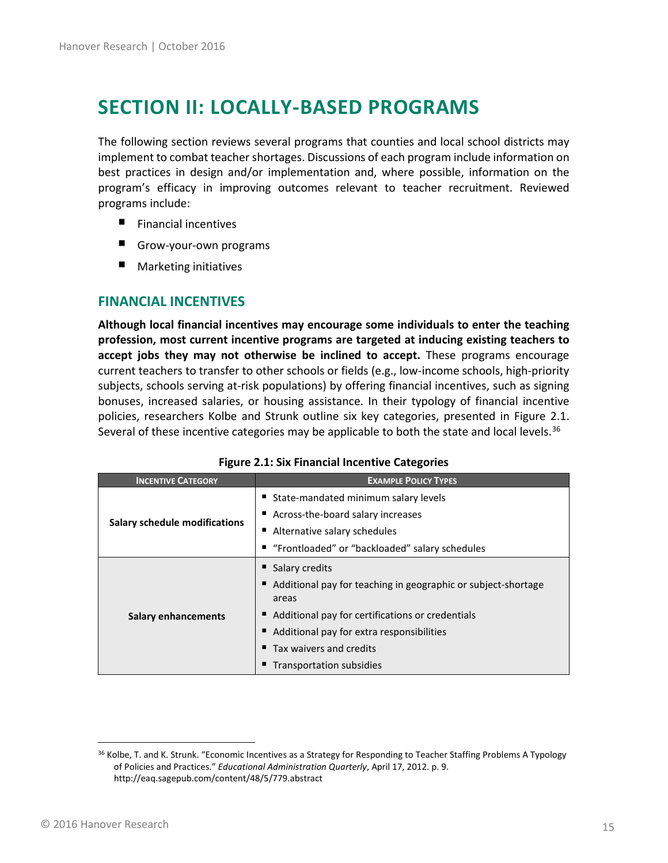# <span id="page-14-0"></span>**SECTION II: LOCALLY-BASED PROGRAMS**

The following section reviews several programs that counties and local school districts may implement to combat teacher shortages. Discussions of each program include information on best practices in design and/or implementation and, where possible, information on the program's efficacy in improving outcomes relevant to teacher recruitment. Reviewed programs include:

- $\blacksquare$  Financial incentives
- ٠ Grow-your-own programs
- Marketing initiatives

### <span id="page-14-1"></span>**FINANCIAL INCENTIVES**

**Although local financial incentives may encourage some individuals to enter the teaching profession, most current incentive programs are targeted at inducing existing teachers to accept jobs they may not otherwise be inclined to accept.** These programs encourage current teachers to transfer to other schools or fields (e.g., low-income schools, high-priority subjects, schools serving at-risk populations) by offering financial incentives, such as signing bonuses, increased salaries, or housing assistance. In their typology of financial incentive policies, researchers Kolbe and Strunk outline six key categories, presented in Figure 2.1. Several of these incentive categories may be applicable to both the state and local levels.<sup>[36](#page-14-2)</sup>

| <b>INCENTIVE CATEGORY</b>            | <b>EXAMPLE POLICY TYPES</b>                                              |  |
|--------------------------------------|--------------------------------------------------------------------------|--|
| <b>Salary schedule modifications</b> | ■ State-mandated minimum salary levels                                   |  |
|                                      | ■ Across-the-board salary increases                                      |  |
|                                      | ■ Alternative salary schedules                                           |  |
|                                      | ■ "Frontloaded" or "backloaded" salary schedules                         |  |
| <b>Salary enhancements</b>           | ■ Salary credits                                                         |  |
|                                      | ■ Additional pay for teaching in geographic or subject-shortage<br>areas |  |
|                                      | ■ Additional pay for certifications or credentials                       |  |
|                                      | ■ Additional pay for extra responsibilities                              |  |
|                                      | Tax waivers and credits                                                  |  |
|                                      | Transportation subsidies                                                 |  |

<span id="page-14-2"></span><sup>&</sup>lt;sup>36</sup> Kolbe, T. and K. Strunk. "Economic Incentives as a Strategy for Responding to Teacher Staffing Problems A Typology of Policies and Practices." *Educational Administration Quarterly*, April 17, 2012. p. 9. http://eaq.sagepub.com/content/48/5/779.abstract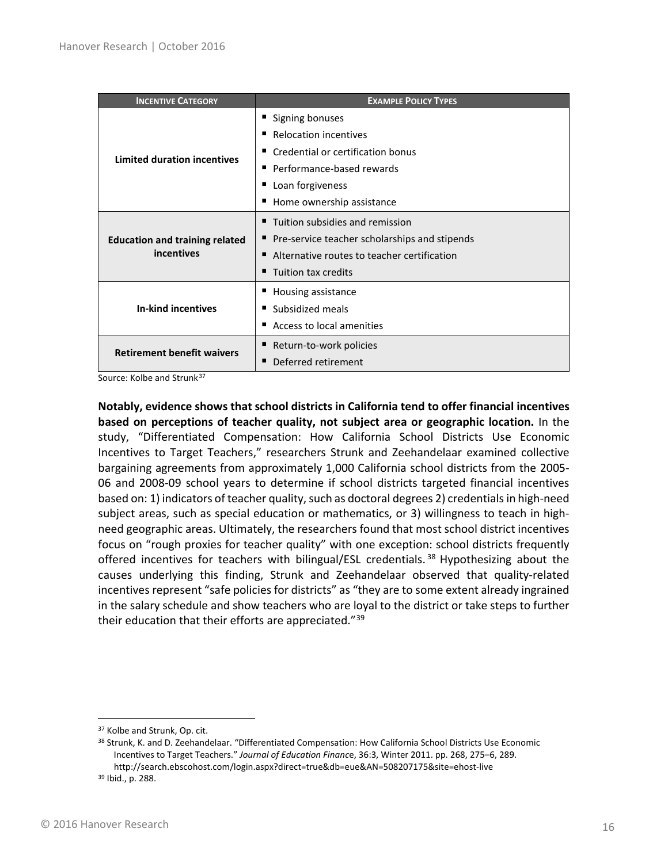| <b>INCENTIVE CATEGORY</b>                           | <b>EXAMPLE POLICY TYPES</b>                     |
|-----------------------------------------------------|-------------------------------------------------|
| <b>Limited duration incentives</b>                  | ■ Signing bonuses                               |
|                                                     | Relocation incentives                           |
|                                                     | Credential or certification bonus<br>ш          |
|                                                     | ■ Performance-based rewards                     |
|                                                     | Loan forgiveness<br>ш                           |
|                                                     | ■ Home ownership assistance                     |
| <b>Education and training related</b><br>incentives | ■ Tuition subsidies and remission               |
|                                                     | ■ Pre-service teacher scholarships and stipends |
|                                                     | ■ Alternative routes to teacher certification   |
|                                                     | Tuition tax credits<br>٠                        |
|                                                     | ■ Housing assistance                            |
| <b>In-kind incentives</b>                           | Subsidized meals<br>п                           |
|                                                     | ■ Access to local amenities                     |
| <b>Retirement benefit waivers</b>                   | Return-to-work policies<br>ш                    |
|                                                     | Deferred retirement<br>■                        |

Source: Kolbe and Strunk<sup>[37](#page-15-0)</sup>

**Notably, evidence shows that school districts in California tend to offer financial incentives based on perceptions of teacher quality, not subject area or geographic location.** In the study, "Differentiated Compensation: How California School Districts Use Economic Incentives to Target Teachers," researchers Strunk and Zeehandelaar examined collective bargaining agreements from approximately 1,000 California school districts from the 2005- 06 and 2008-09 school years to determine if school districts targeted financial incentives based on: 1) indicators of teacher quality, such as doctoral degrees 2) credentials in high-need subject areas, such as special education or mathematics, or 3) willingness to teach in highneed geographic areas. Ultimately, the researchers found that most school district incentives focus on "rough proxies for teacher quality" with one exception: school districts frequently offered incentives for teachers with bilingual/ESL credentials.<sup>[38](#page-15-1)</sup> Hypothesizing about the causes underlying this finding, Strunk and Zeehandelaar observed that quality-related incentives represent "safe policies for districts" as "they are to some extent already ingrained in the salary schedule and show teachers who are loyal to the district or take steps to further their education that their efforts are appreciated."<sup>[39](#page-15-2)</sup>

<span id="page-15-0"></span><sup>&</sup>lt;sup>37</sup> Kolbe and Strunk, Op. cit.

<span id="page-15-1"></span><sup>38</sup> Strunk, K. and D. Zeehandelaar. "Differentiated Compensation: How California School Districts Use Economic Incentives to Target Teachers." *Journal of Education Financ*e, 36:3, Winter 2011. pp. 268, 275–6, 289. http://search.ebscohost.com/login.aspx?direct=true&db=eue&AN=508207175&site=ehost-live

<span id="page-15-2"></span><sup>39</sup> Ibid., p. 288.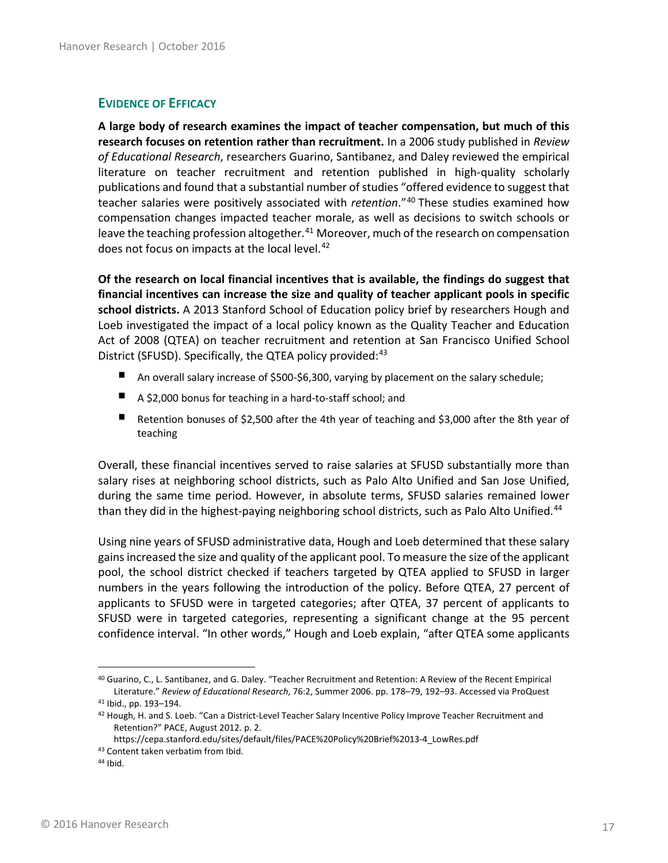### <span id="page-16-0"></span>**EVIDENCE OF EFFICACY**

**A large body of research examines the impact of teacher compensation, but much of this research focuses on retention rather than recruitment.** In a 2006 study published in *Review of Educational Research*, researchers Guarino, Santibanez, and Daley reviewed the empirical literature on teacher recruitment and retention published in high-quality scholarly publications and found that a substantial number of studies "offered evidence to suggest that teacher salaries were positively associated with *retention*."[40](#page-16-1) These studies examined how compensation changes impacted teacher morale, as well as decisions to switch schools or leave the teaching profession altogether.<sup>[41](#page-16-2)</sup> Moreover, much of the research on compensation does not focus on impacts at the local level.<sup>[42](#page-16-3)</sup>

**Of the research on local financial incentives that is available, the findings do suggest that financial incentives can increase the size and quality of teacher applicant pools in specific school districts.** A 2013 Stanford School of Education policy brief by researchers Hough and Loeb investigated the impact of a local policy known as the Quality Teacher and Education Act of 2008 (QTEA) on teacher recruitment and retention at San Francisco Unified School District (SFUSD). Specifically, the QTEA policy provided:<sup>[43](#page-16-4)</sup>

- ٠ An overall salary increase of \$500-\$6,300, varying by placement on the salary schedule;
- A \$2,000 bonus for teaching in a hard-to-staff school; and
- Retention bonuses of \$2,500 after the 4th year of teaching and \$3,000 after the 8th year of teaching

Overall, these financial incentives served to raise salaries at SFUSD substantially more than salary rises at neighboring school districts, such as Palo Alto Unified and San Jose Unified, during the same time period. However, in absolute terms, SFUSD salaries remained lower than they did in the highest-paying neighboring school districts, such as Palo Alto Unified.<sup>[44](#page-16-5)</sup>

Using nine years of SFUSD administrative data, Hough and Loeb determined that these salary gains increased the size and quality of the applicant pool. To measure the size of the applicant pool, the school district checked if teachers targeted by QTEA applied to SFUSD in larger numbers in the years following the introduction of the policy. Before QTEA, 27 percent of applicants to SFUSD were in targeted categories; after QTEA, 37 percent of applicants to SFUSD were in targeted categories, representing a significant change at the 95 percent confidence interval. "In other words," Hough and Loeb explain, "after QTEA some applicants

<span id="page-16-1"></span> <sup>40</sup> Guarino, C., L. Santibanez, and G. Daley. "Teacher Recruitment and Retention: A Review of the Recent Empirical Literature." *Review of Educational Research*, 76:2, Summer 2006. pp. 178–79, 192–93. Accessed via ProQuest

<span id="page-16-3"></span><span id="page-16-2"></span><sup>41</sup> Ibid., pp. 193–194.

<sup>&</sup>lt;sup>42</sup> Hough, H. and S. Loeb. "Can a District-Level Teacher Salary Incentive Policy Improve Teacher Recruitment and Retention?" PACE, August 2012. p. 2.

<span id="page-16-4"></span>https://cepa.stanford.edu/sites/default/files/PACE%20Policy%20Brief%2013-4\_LowRes.pdf 43 Content taken verbatim from Ibid.

<span id="page-16-5"></span><sup>44</sup> Ibid.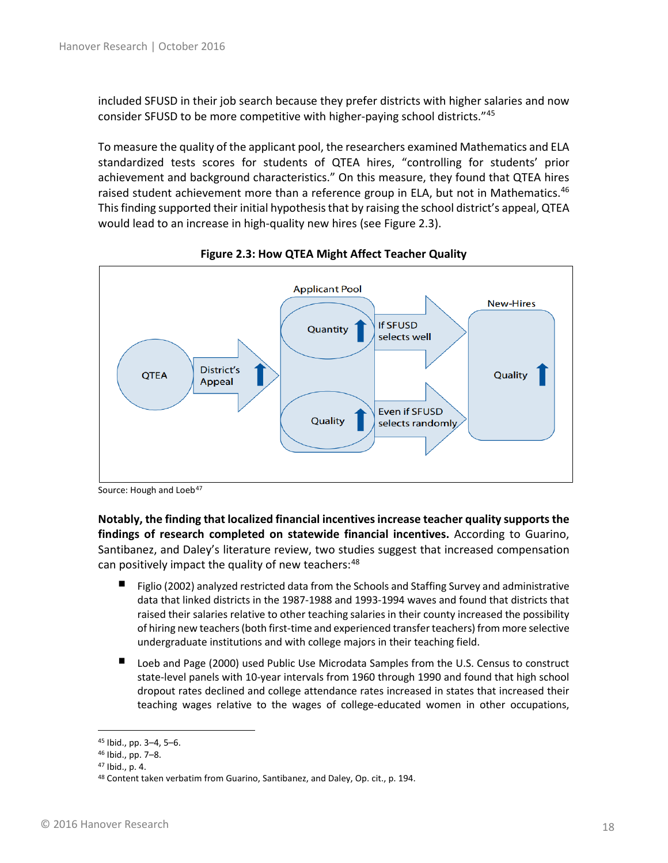included SFUSD in their job search because they prefer districts with higher salaries and now consider SFUSD to be more competitive with higher-paying school districts."[45](#page-17-0)

To measure the quality of the applicant pool, the researchers examined Mathematics and ELA standardized tests scores for students of QTEA hires, "controlling for students' prior achievement and background characteristics." On this measure, they found that QTEA hires raised student achievement more than a reference group in ELA, but not in Mathematics.<sup>[46](#page-17-1)</sup> This finding supported their initial hypothesis that by raising the school district's appeal, QTEA would lead to an increase in high-quality new hires (see Figure 2.3).



**Figure 2.3: How QTEA Might Affect Teacher Quality**

**Notably, the finding that localized financial incentives increase teacher quality supportsthe findings of research completed on statewide financial incentives.** According to Guarino, Santibanez, and Daley's literature review, two studies suggest that increased compensation can positively impact the quality of new teachers:<sup>[48](#page-17-3)</sup>

- ٠ Figlio (2002) analyzed restricted data from the Schools and Staffing Survey and administrative data that linked districts in the 1987-1988 and 1993-1994 waves and found that districts that raised their salaries relative to other teaching salaries in their county increased the possibility of hiring new teachers (both first-time and experienced transfer teachers) from more selective undergraduate institutions and with college majors in their teaching field.
- Loeb and Page (2000) used Public Use Microdata Samples from the U.S. Census to construct state-level panels with 10-year intervals from 1960 through 1990 and found that high school dropout rates declined and college attendance rates increased in states that increased their teaching wages relative to the wages of college-educated women in other occupations,

Source: Hough and Loeb<sup>[47](#page-17-2)</sup>

<span id="page-17-0"></span> <sup>45</sup> Ibid., pp. 3–4, 5–6.

<span id="page-17-1"></span><sup>46</sup> Ibid., pp. 7–8.

<span id="page-17-2"></span><sup>47</sup> Ibid., p. 4.

<span id="page-17-3"></span><sup>48</sup> Content taken verbatim from Guarino, Santibanez, and Daley, Op. cit., p. 194.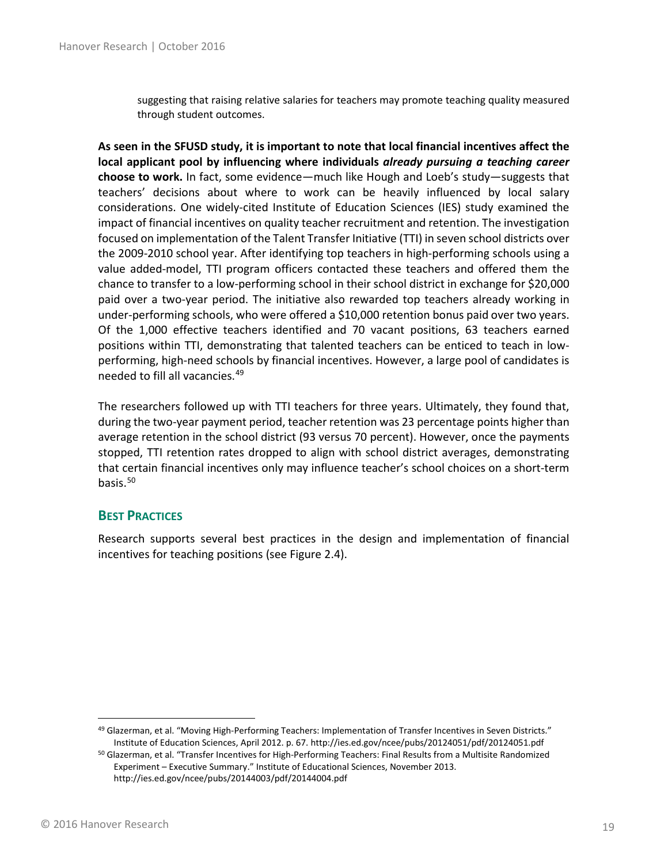suggesting that raising relative salaries for teachers may promote teaching quality measured through student outcomes.

**As seen in the SFUSD study, it is important to note that local financial incentives affect the local applicant pool by influencing where individuals** *already pursuing a teaching career* **choose to work.** In fact, some evidence—much like Hough and Loeb's study—suggests that teachers' decisions about where to work can be heavily influenced by local salary considerations. One widely-cited Institute of Education Sciences (IES) study examined the impact of financial incentives on quality teacher recruitment and retention. The investigation focused on implementation of the Talent Transfer Initiative (TTI) in seven school districts over the 2009-2010 school year. After identifying top teachers in high-performing schools using a value added-model, TTI program officers contacted these teachers and offered them the chance to transfer to a low-performing school in their school district in exchange for \$20,000 paid over a two-year period. The initiative also rewarded top teachers already working in under-performing schools, who were offered a \$10,000 retention bonus paid over two years. Of the 1,000 effective teachers identified and 70 vacant positions, 63 teachers earned positions within TTI, demonstrating that talented teachers can be enticed to teach in lowperforming, high-need schools by financial incentives. However, a large pool of candidates is needed to fill all vacancies.[49](#page-18-1)

The researchers followed up with TTI teachers for three years. Ultimately, they found that, during the two-year payment period, teacher retention was 23 percentage points higher than average retention in the school district (93 versus 70 percent). However, once the payments stopped, TTI retention rates dropped to align with school district averages, demonstrating that certain financial incentives only may influence teacher's school choices on a short-term basis.<sup>[50](#page-18-2)</sup>

#### <span id="page-18-0"></span>**BEST PRACTICES**

Research supports several best practices in the design and implementation of financial incentives for teaching positions (see Figure 2.4).

<span id="page-18-2"></span><span id="page-18-1"></span>49 Glazerman, et al. "Moving High-Performing Teachers: Implementation of Transfer Incentives in Seven Districts." Institute of Education Sciences, April 2012. p. 67. http://ies.ed.gov/ncee/pubs/20124051/pdf/20124051.pdf<br><sup>50</sup> Glazerman, et al. "Transfer Incentives for High-Performing Teachers: Final Results from a Multisite Randomized

Experiment – Executive Summary." Institute of Educational Sciences, November 2013. http://ies.ed.gov/ncee/pubs/20144003/pdf/20144004.pdf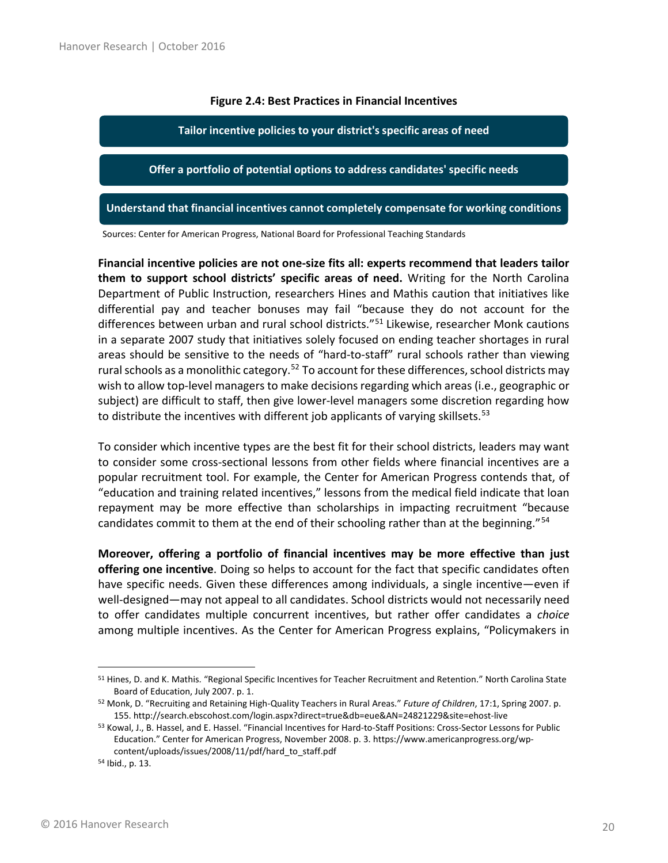#### **Figure 2.4: Best Practices in Financial Incentives**

**Tailor incentive policies to your district's specific areas of need**

**Offer a portfolio of potential options to address candidates' specific needs**

**Understand that financial incentives cannot completely compensate for working conditions**

Sources: Center for American Progress, National Board for Professional Teaching Standards

**Financial incentive policies are not one-size fits all: experts recommend that leaders tailor them to support school districts' specific areas of need.** Writing for the North Carolina Department of Public Instruction, researchers Hines and Mathis caution that initiatives like differential pay and teacher bonuses may fail "because they do not account for the differences between urban and rural school districts."<sup>[51](#page-19-0)</sup> Likewise, researcher Monk cautions in a separate 2007 study that initiatives solely focused on ending teacher shortages in rural areas should be sensitive to the needs of "hard-to-staff" rural schools rather than viewing rural schools as a monolithic category.<sup>[52](#page-19-1)</sup> To account for these differences, school districts may wish to allow top-level managers to make decisions regarding which areas (i.e., geographic or subject) are difficult to staff, then give lower-level managers some discretion regarding how to distribute the incentives with different job applicants of varying skillsets.<sup>[53](#page-19-2)</sup>

To consider which incentive types are the best fit for their school districts, leaders may want to consider some cross-sectional lessons from other fields where financial incentives are a popular recruitment tool. For example, the Center for American Progress contends that, of "education and training related incentives," lessons from the medical field indicate that loan repayment may be more effective than scholarships in impacting recruitment "because candidates commit to them at the end of their schooling rather than at the beginning."<sup>[54](#page-19-3)</sup>

**Moreover, offering a portfolio of financial incentives may be more effective than just offering one incentive**. Doing so helps to account for the fact that specific candidates often have specific needs. Given these differences among individuals, a single incentive—even if well-designed—may not appeal to all candidates. School districts would not necessarily need to offer candidates multiple concurrent incentives, but rather offer candidates a *choice* among multiple incentives. As the Center for American Progress explains, "Policymakers in

<span id="page-19-0"></span><sup>&</sup>lt;sup>51</sup> Hines, D. and K. Mathis. "Regional Specific Incentives for Teacher Recruitment and Retention." North Carolina State Board of Education, July 2007. p. 1. 52 Monk, D. "Recruiting and Retaining High-Quality Teachers in Rural Areas." *Future of Children*, 17:1, Spring 2007. p.

<span id="page-19-1"></span><sup>155.</sup> http://search.ebscohost.com/login.aspx?direct=true&db=eue&AN=24821229&site=ehost-live

<span id="page-19-2"></span><sup>53</sup> Kowal, J., B. Hassel, and E. Hassel. "Financial Incentives for Hard-to-Staff Positions: Cross-Sector Lessons for Public Education." Center for American Progress, November 2008. p. 3. https://www.americanprogress.org/wpcontent/uploads/issues/2008/11/pdf/hard\_to\_staff.pdf

<span id="page-19-3"></span><sup>54</sup> Ibid., p. 13.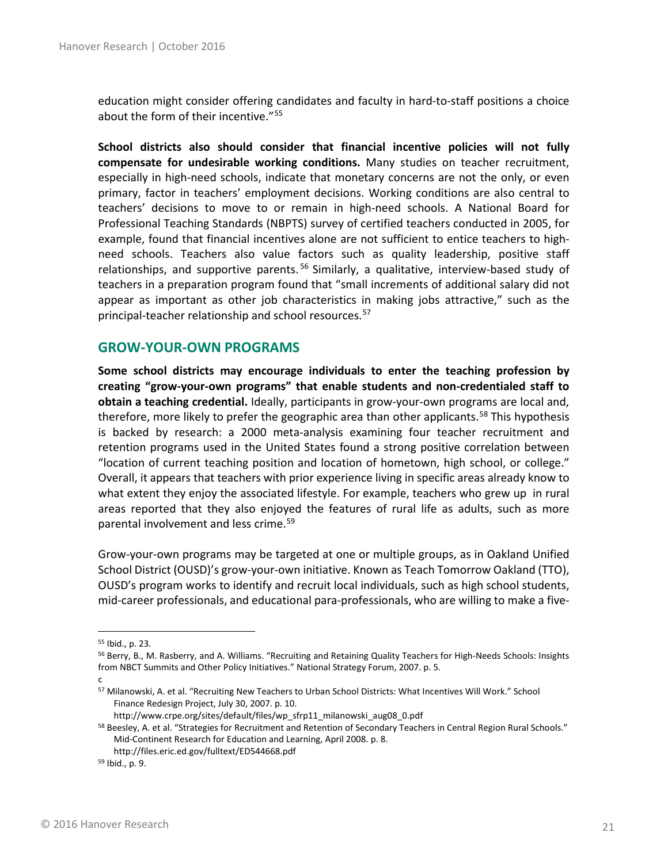education might consider offering candidates and faculty in hard-to-staff positions a choice about the form of their incentive."<sup>[55](#page-20-1)</sup>

**School districts also should consider that financial incentive policies will not fully compensate for undesirable working conditions.** Many studies on teacher recruitment, especially in high-need schools, indicate that monetary concerns are not the only, or even primary, factor in teachers' employment decisions. Working conditions are also central to teachers' decisions to move to or remain in high-need schools. A National Board for Professional Teaching Standards (NBPTS) survey of certified teachers conducted in 2005, for example, found that financial incentives alone are not sufficient to entice teachers to highneed schools. Teachers also value factors such as quality leadership, positive staff relationships, and supportive parents.<sup>[56](#page-20-2)</sup> Similarly, a qualitative, interview-based study of teachers in a preparation program found that "small increments of additional salary did not appear as important as other job characteristics in making jobs attractive," such as the principal-teacher relationship and school resources.[57](#page-20-3)

#### <span id="page-20-0"></span>**GROW-YOUR-OWN PROGRAMS**

**Some school districts may encourage individuals to enter the teaching profession by creating "grow-your-own programs" that enable students and non-credentialed staff to obtain a teaching credential.** Ideally, participants in grow-your-own programs are local and, therefore, more likely to prefer the geographic area than other applicants.<sup>[58](#page-20-4)</sup> This hypothesis is backed by research: a 2000 meta-analysis examining four teacher recruitment and retention programs used in the United States found a strong positive correlation between "location of current teaching position and location of hometown, high school, or college." Overall, it appears that teachers with prior experience living in specific areas already know to what extent they enjoy the associated lifestyle. For example, teachers who grew up in rural areas reported that they also enjoyed the features of rural life as adults, such as more parental involvement and less crime.<sup>[59](#page-20-5)</sup>

Grow-your-own programs may be targeted at one or multiple groups, as in Oakland Unified School District (OUSD)'s grow-your-own initiative. Known as Teach Tomorrow Oakland (TTO), OUSD's program works to identify and recruit local individuals, such as high school students, mid-career professionals, and educational para-professionals, who are willing to make a five-

<span id="page-20-1"></span> <sup>55</sup> Ibid., p. 23.

<span id="page-20-2"></span><sup>56</sup> Berry, B., M. Rasberry, and A. Williams. "Recruiting and Retaining Quality Teachers for High-Needs Schools: Insights from NBCT Summits and Other Policy Initiatives." National Strategy Forum, 2007. p. 5.

c

<span id="page-20-3"></span><sup>57</sup> Milanowski, A. et al. "Recruiting New Teachers to Urban School Districts: What Incentives Will Work." School Finance Redesign Project, July 30, 2007. p. 10.

http://www.crpe.org/sites/default/files/wp\_sfrp11\_milanowski\_aug08\_0.pdf

<span id="page-20-4"></span><sup>58</sup> Beesley, A. et al. "Strategies for Recruitment and Retention of Secondary Teachers in Central Region Rural Schools." Mid-Continent Research for Education and Learning, April 2008. p. 8. http://files.eric.ed.gov/fulltext/ED544668.pdf

<span id="page-20-5"></span><sup>59</sup> Ibid., p. 9.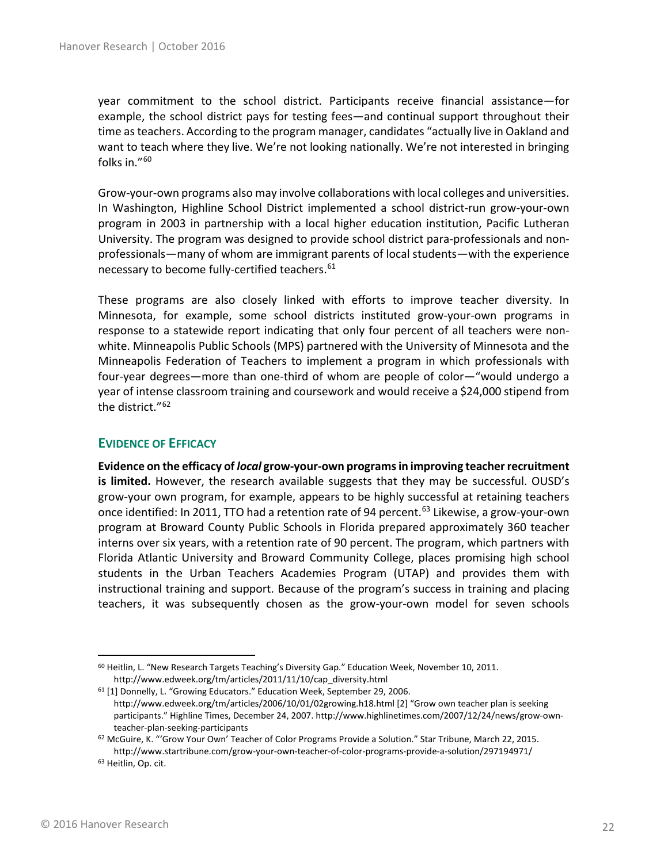year commitment to the school district. Participants receive financial assistance—for example, the school district pays for testing fees—and continual support throughout their time as teachers. According to the program manager, candidates "actually live in Oakland and want to teach where they live. We're not looking nationally. We're not interested in bringing folks in."[60](#page-21-1)

Grow-your-own programs also may involve collaborations with local colleges and universities. In Washington, Highline School District implemented a school district-run grow-your-own program in 2003 in partnership with a local higher education institution, Pacific Lutheran University. The program was designed to provide school district para-professionals and nonprofessionals—many of whom are immigrant parents of local students—with the experience necessary to become fully-certified teachers.<sup>[61](#page-21-2)</sup>

These programs are also closely linked with efforts to improve teacher diversity. In Minnesota, for example, some school districts instituted grow-your-own programs in response to a statewide report indicating that only four percent of all teachers were nonwhite. Minneapolis Public Schools (MPS) partnered with the University of Minnesota and the Minneapolis Federation of Teachers to implement a program in which professionals with four-year degrees—more than one-third of whom are people of color—"would undergo a year of intense classroom training and coursework and would receive a \$24,000 stipend from the district."[62](#page-21-3)

#### <span id="page-21-0"></span>**EVIDENCE OF EFFICACY**

**Evidence on the efficacy of** *local* **grow-your-own programs in improving teacher recruitment is limited.** However, the research available suggests that they may be successful. OUSD's grow-your own program, for example, appears to be highly successful at retaining teachers once identified: In 2011, TTO had a retention rate of 94 percent. [63](#page-21-4) Likewise, a grow-your-own program at Broward County Public Schools in Florida prepared approximately 360 teacher interns over six years, with a retention rate of 90 percent. The program, which partners with Florida Atlantic University and Broward Community College, places promising high school students in the Urban Teachers Academies Program (UTAP) and provides them with instructional training and support. Because of the program's success in training and placing teachers, it was subsequently chosen as the grow-your-own model for seven schools

<span id="page-21-1"></span> $60$  Heitlin, L. "New Research Targets Teaching's Diversity Gap." Education Week, November 10, 2011. http://www.edweek.org/tm/articles/2011/11/10/cap\_diversity.html

<span id="page-21-2"></span><sup>61</sup> [1] Donnelly, L. "Growing Educators." Education Week, September 29, 2006. http://www.edweek.org/tm/articles/2006/10/01/02growing.h18.html [2] "Grow own teacher plan is seeking participants." Highline Times, December 24, 2007. http://www.highlinetimes.com/2007/12/24/news/grow-ownteacher-plan-seeking-participants

<span id="page-21-4"></span><span id="page-21-3"></span><sup>62</sup> McGuire, K. "'Grow Your Own' Teacher of Color Programs Provide a Solution." Star Tribune, March 22, 2015. http://www.startribune.com/grow-your-own-teacher-of-color-programs-provide-a-solution/297194971/ <sup>63</sup> Heitlin, Op. cit.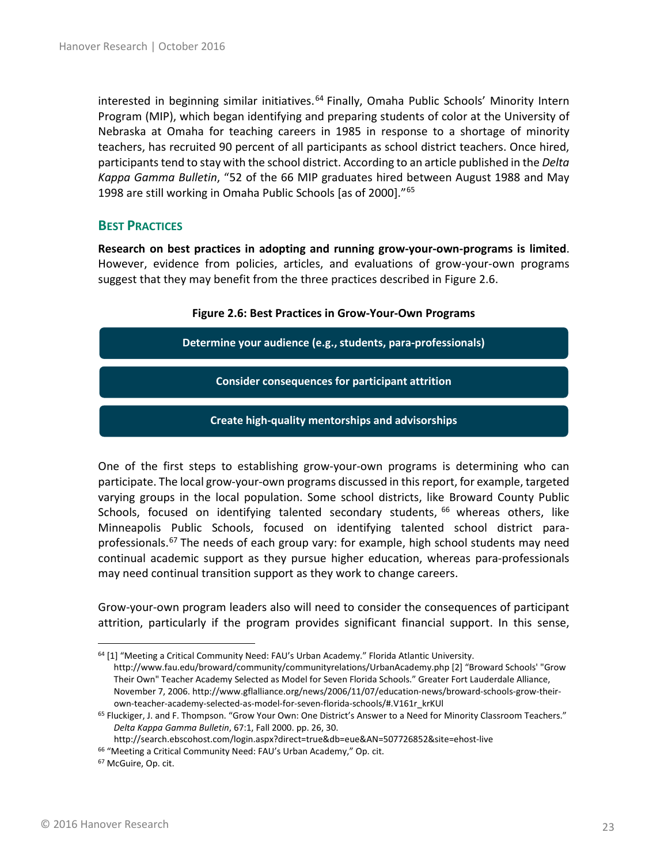interested in beginning similar initiatives.<sup>[64](#page-22-1)</sup> Finally, Omaha Public Schools' Minority Intern Program (MIP), which began identifying and preparing students of color at the University of Nebraska at Omaha for teaching careers in 1985 in response to a shortage of minority teachers, has recruited 90 percent of all participants as school district teachers. Once hired, participants tend to stay with the school district. According to an article published in the *Delta Kappa Gamma Bulletin*, "52 of the 66 MIP graduates hired between August 1988 and May 1998 are still working in Omaha Public Schools [as of 2000]."[65](#page-22-2)

#### <span id="page-22-0"></span>**BEST PRACTICES**

**Research on best practices in adopting and running grow-your-own-programs is limited**. However, evidence from policies, articles, and evaluations of grow-your-own programs suggest that they may benefit from the three practices described in Figure 2.6.

# **Figure 2.6: Best Practices in Grow-Your-Own Programs Determine your audience (e.g., students, para-professionals) Consider consequences for participant attrition Create high-quality mentorships and advisorships**

One of the first steps to establishing grow-your-own programs is determining who can participate. The local grow-your-own programs discussed in this report, for example, targeted varying groups in the local population. Some school districts, like Broward County Public Schools, focused on identifying talented secondary students, <sup>[66](#page-22-3)</sup> whereas others, like Minneapolis Public Schools, focused on identifying talented school district para-professionals.<sup>[67](#page-22-4)</sup> The needs of each group vary: for example, high school students may need continual academic support as they pursue higher education, whereas para-professionals may need continual transition support as they work to change careers.

Grow-your-own program leaders also will need to consider the consequences of participant attrition, particularly if the program provides significant financial support. In this sense,

http://search.ebscohost.com/login.aspx?direct=true&db=eue&AN=507726852&site=ehost-live

<span id="page-22-1"></span> $64$  [1] "Meeting a Critical Community Need: FAU's Urban Academy." Florida Atlantic University. http://www.fau.edu/broward/community/communityrelations/UrbanAcademy.php [2] "Broward Schools' "Grow Their Own" Teacher Academy Selected as Model for Seven Florida Schools." Greater Fort Lauderdale Alliance, November 7, 2006. http://www.gflalliance.org/news/2006/11/07/education-news/broward-schools-grow-theirown-teacher-academy-selected-as-model-for-seven-florida-schools/#.V161r\_krKUl

<span id="page-22-2"></span><sup>&</sup>lt;sup>65</sup> Fluckiger, J. and F. Thompson. "Grow Your Own: One District's Answer to a Need for Minority Classroom Teachers." *Delta Kappa Gamma Bulletin*, 67:1, Fall 2000. pp. 26, 30.

<span id="page-22-4"></span><span id="page-22-3"></span><sup>&</sup>lt;sup>66</sup> "Meeting a Critical Community Need: FAU's Urban Academy," Op. cit. <sup>67</sup> McGuire, Op. cit.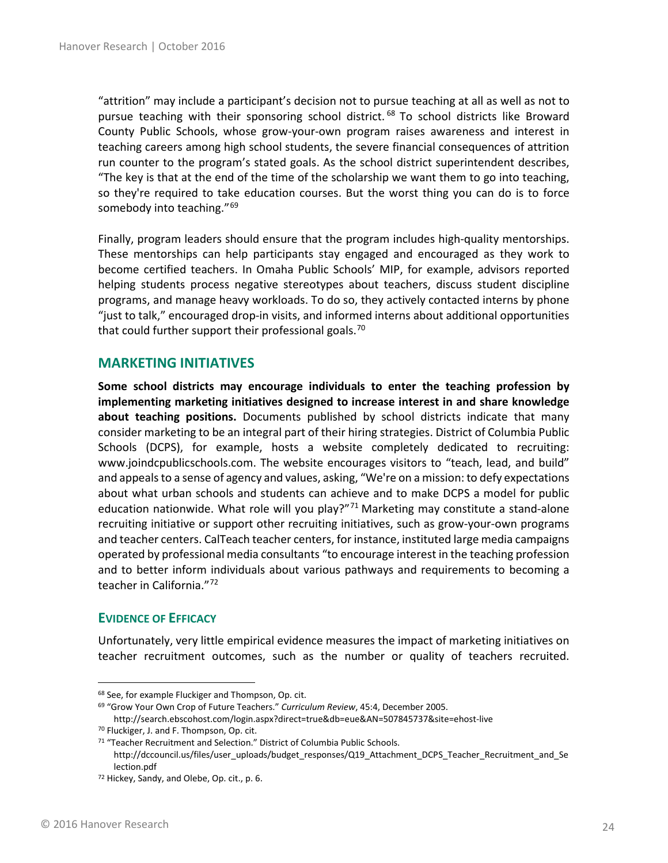"attrition" may include a participant's decision not to pursue teaching at all as well as not to pursue teaching with their sponsoring school district.<sup>[68](#page-23-2)</sup> To school districts like Broward County Public Schools, whose grow-your-own program raises awareness and interest in teaching careers among high school students, the severe financial consequences of attrition run counter to the program's stated goals. As the school district superintendent describes, "The key is that at the end of the time of the scholarship we want them to go into teaching, so they're required to take education courses. But the worst thing you can do is to force somebody into teaching."<sup>[69](#page-23-3)</sup>

Finally, program leaders should ensure that the program includes high-quality mentorships. These mentorships can help participants stay engaged and encouraged as they work to become certified teachers. In Omaha Public Schools' MIP, for example, advisors reported helping students process negative stereotypes about teachers, discuss student discipline programs, and manage heavy workloads. To do so, they actively contacted interns by phone "just to talk," encouraged drop-in visits, and informed interns about additional opportunities that could further support their professional goals.<sup>[70](#page-23-4)</sup>

### <span id="page-23-0"></span>**MARKETING INITIATIVES**

**Some school districts may encourage individuals to enter the teaching profession by implementing marketing initiatives designed to increase interest in and share knowledge about teaching positions.** Documents published by school districts indicate that many consider marketing to be an integral part of their hiring strategies. District of Columbia Public Schools (DCPS), for example, hosts a website completely dedicated to recruiting: [www.joindcpublicschools.com.](http://www.joindcpublicschools.com/) The website encourages visitors to "teach, lead, and build" and appeals to a sense of agency and values, asking, "We're on a mission: to defy expectations about what urban schools and students can achieve and to make DCPS a model for public education nationwide. What role will you play?"<sup>[71](#page-23-5)</sup> Marketing may constitute a stand-alone recruiting initiative or support other recruiting initiatives, such as grow-your-own programs and teacher centers. CalTeach teacher centers, for instance, instituted large media campaigns operated by professional media consultants "to encourage interest in the teaching profession and to better inform individuals about various pathways and requirements to becoming a teacher in California."[72](#page-23-6)

#### <span id="page-23-1"></span>**EVIDENCE OF EFFICACY**

Unfortunately, very little empirical evidence measures the impact of marketing initiatives on teacher recruitment outcomes, such as the number or quality of teachers recruited.

<span id="page-23-2"></span> <sup>68</sup> See, for example Fluckiger and Thompson, Op. cit.

<span id="page-23-3"></span><sup>69</sup> "Grow Your Own Crop of Future Teachers." *Curriculum Review*, 45:4, December 2005.

<span id="page-23-4"></span>http://search.ebscohost.com/login.aspx?direct=true&db=eue&AN=507845737&site=ehost-live <sup>70</sup> Fluckiger, J. and F. Thompson, Op. cit.

<span id="page-23-5"></span><sup>&</sup>lt;sup>71</sup> "Teacher Recruitment and Selection." District of Columbia Public Schools.

http://dccouncil.us/files/user\_uploads/budget\_responses/Q19\_Attachment\_DCPS\_Teacher\_Recruitment\_and\_Se lection.pdf

<span id="page-23-6"></span><sup>72</sup> Hickey, Sandy, and Olebe, Op. cit., p. 6.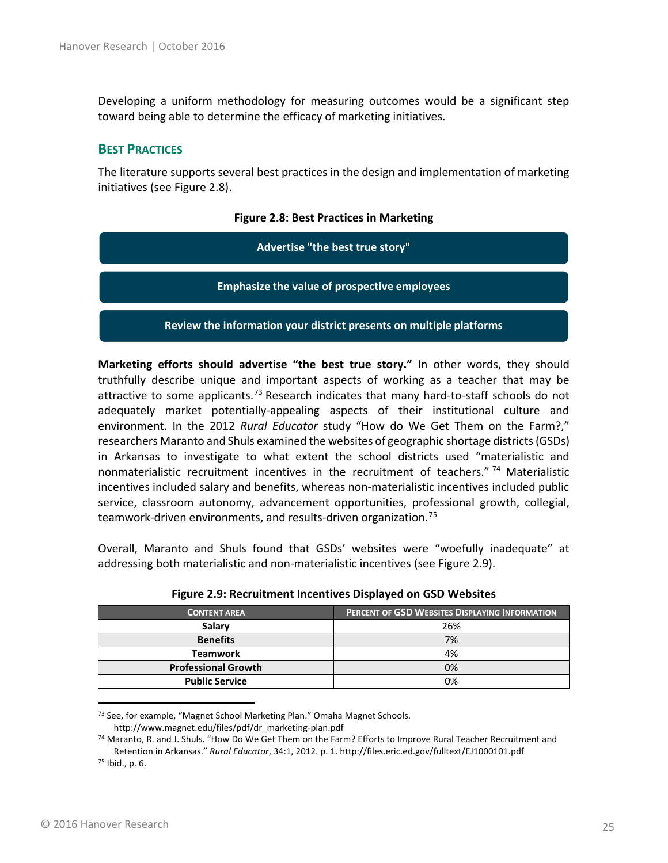Developing a uniform methodology for measuring outcomes would be a significant step toward being able to determine the efficacy of marketing initiatives.

### <span id="page-24-0"></span>**BEST PRACTICES**

The literature supports several best practices in the design and implementation of marketing initiatives (see Figure 2.8).

#### **Figure 2.8: Best Practices in Marketing**

**Advertise "the best true story"** 

**Emphasize the value of prospective employees**

**Review the information your district presents on multiple platforms**

**Marketing efforts should advertise "the best true story."** In other words, they should truthfully describe unique and important aspects of working as a teacher that may be attractive to some applicants.<sup>[73](#page-24-1)</sup> Research indicates that many hard-to-staff schools do not adequately market potentially-appealing aspects of their institutional culture and environment. In the 2012 *Rural Educator* study "How do We Get Them on the Farm?," researchers Maranto and Shuls examined the websites of geographic shortage districts (GSDs) in Arkansas to investigate to what extent the school districts used "materialistic and nonmaterialistic recruitment incentives in the recruitment of teachers."<sup>[74](#page-24-2)</sup> Materialistic incentives included salary and benefits, whereas non-materialistic incentives included public service, classroom autonomy, advancement opportunities, professional growth, collegial, teamwork-driven environments, and results-driven organization.<sup>[75](#page-24-3)</sup>

Overall, Maranto and Shuls found that GSDs' websites were "woefully inadequate" at addressing both materialistic and non-materialistic incentives (see Figure 2.9).

| <b>CONTENT AREA</b>        | <b>PERCENT OF GSD WEBSITES DISPLAYING INFORMATION</b> |
|----------------------------|-------------------------------------------------------|
| Salary                     | 26%                                                   |
| <b>Benefits</b>            | 7%                                                    |
| <b>Teamwork</b>            | 4%                                                    |
| <b>Professional Growth</b> | 0%                                                    |
| <b>Public Service</b>      | 0%                                                    |

| Figure 2.9: Recruitment Incentives Displayed on GSD Websites |  |  |
|--------------------------------------------------------------|--|--|
|--------------------------------------------------------------|--|--|

http://www.magnet.edu/files/pdf/dr\_marketing-plan.pdf

<span id="page-24-1"></span> <sup>73</sup> See, for example, "Magnet School Marketing Plan." Omaha Magnet Schools.

<span id="page-24-3"></span><span id="page-24-2"></span><sup>74</sup> Maranto, R. and J. Shuls. "How Do We Get Them on the Farm? Efforts to Improve Rural Teacher Recruitment and Retention in Arkansas." *Rural Educator*, 34:1, 2012. p. 1. http://files.eric.ed.gov/fulltext/EJ1000101.pdf <sup>75</sup> Ibid., p. 6.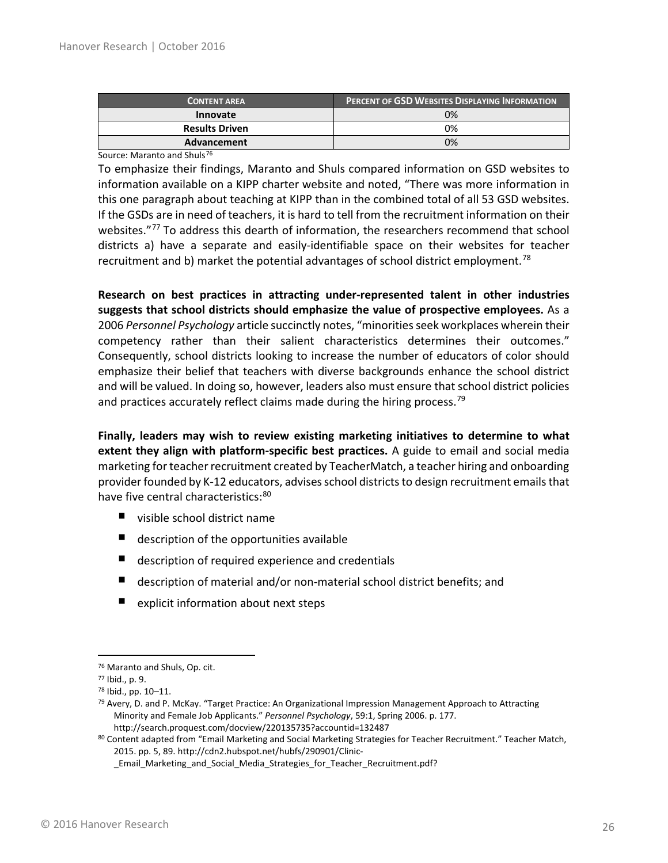| <b>CONTENT AREA</b>   | <b>PERCENT OF GSD WEBSITES DISPLAYING INFORMATION</b> |
|-----------------------|-------------------------------------------------------|
| <b>Innovate</b>       | 0%                                                    |
| <b>Results Driven</b> | 0%                                                    |
| Advancement           | 0%                                                    |

Source: Maranto and Shuls<sup>[76](#page-25-0)</sup>

To emphasize their findings, Maranto and Shuls compared information on GSD websites to information available on a KIPP charter website and noted, "There was more information in this one paragraph about teaching at KIPP than in the combined total of all 53 GSD websites. If the GSDs are in need of teachers, it is hard to tell from the recruitment information on their websites."<sup>[77](#page-25-1)</sup> To address this dearth of information, the researchers recommend that school districts a) have a separate and easily-identifiable space on their websites for teacher recruitment and b) market the potential advantages of school district employment.<sup>[78](#page-25-2)</sup>

**Research on best practices in attracting under-represented talent in other industries suggests that school districts should emphasize the value of prospective employees.** As a 2006 *Personnel Psychology* article succinctly notes, "minorities seek workplaces wherein their competency rather than their salient characteristics determines their outcomes." Consequently, school districts looking to increase the number of educators of color should emphasize their belief that teachers with diverse backgrounds enhance the school district and will be valued. In doing so, however, leaders also must ensure that school district policies and practices accurately reflect claims made during the hiring process.<sup>[79](#page-25-3)</sup>

**Finally, leaders may wish to review existing marketing initiatives to determine to what extent they align with platform-specific best practices.** A guide to email and social media marketing for teacher recruitment created by TeacherMatch, a teacher hiring and onboarding provider founded by K-12 educators, advises school districts to design recruitment emails that have five central characteristics:<sup>[80](#page-25-4)</sup>

- visible school district name
- **description of the opportunities available**
- description of required experience and credentials
- description of material and/or non-material school district benefits; and
- **E** explicit information about next steps

<span id="page-25-0"></span> <sup>76</sup> Maranto and Shuls, Op. cit.

<span id="page-25-2"></span><span id="page-25-1"></span><sup>77</sup> Ibid., p. 9.

<sup>78</sup> Ibid., pp. 10–11.

<span id="page-25-3"></span> $79$  Avery, D. and P. McKay. "Target Practice: An Organizational Impression Management Approach to Attracting Minority and Female Job Applicants." *Personnel Psychology*, 59:1, Spring 2006. p. 177. http://search.proquest.com/docview/220135735?accountid=132487

<span id="page-25-4"></span><sup>80</sup> Content adapted from "Email Marketing and Social Marketing Strategies for Teacher Recruitment." Teacher Match, 2015. pp. 5, 89. http://cdn2.hubspot.net/hubfs/290901/Clinic-

\_Email\_Marketing\_and\_Social\_Media\_Strategies\_for\_Teacher\_Recruitment.pdf?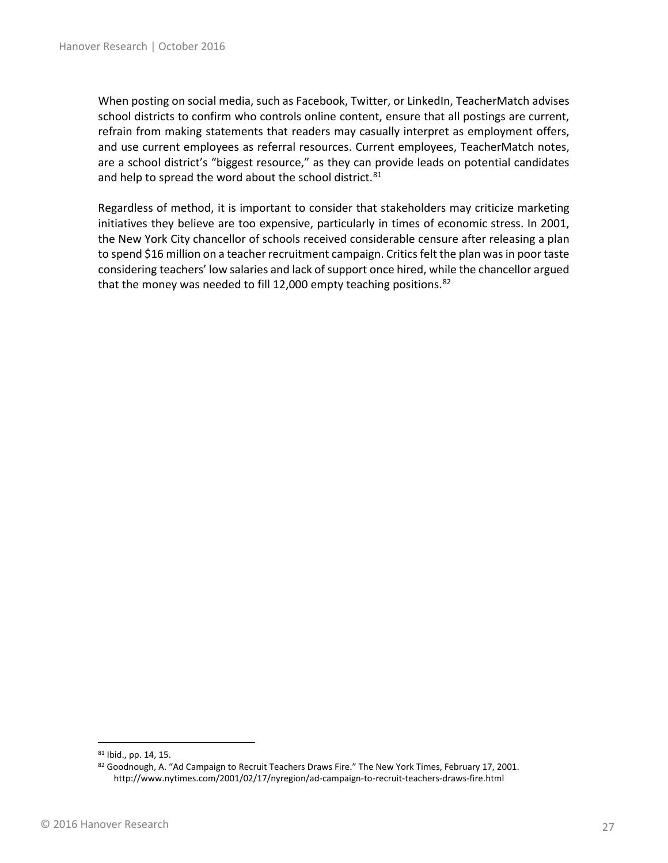When posting on social media, such as Facebook, Twitter, or LinkedIn, TeacherMatch advises school districts to confirm who controls online content, ensure that all postings are current, refrain from making statements that readers may casually interpret as employment offers, and use current employees as referral resources. Current employees, TeacherMatch notes, are a school district's "biggest resource," as they can provide leads on potential candidates and help to spread the word about the school district.<sup>[81](#page-26-0)</sup>

Regardless of method, it is important to consider that stakeholders may criticize marketing initiatives they believe are too expensive, particularly in times of economic stress. In 2001, the New York City chancellor of schools received considerable censure after releasing a plan to spend \$16 million on a teacher recruitment campaign. Critics felt the plan was in poor taste considering teachers' low salaries and lack of support once hired, while the chancellor argued that the money was needed to fill 12,000 empty teaching positions.  $82$ 

<span id="page-26-0"></span> <sup>81</sup> Ibid., pp. 14, 15.

<span id="page-26-1"></span><sup>82</sup> Goodnough, A. "Ad Campaign to Recruit Teachers Draws Fire." The New York Times, February 17, 2001. http://www.nytimes.com/2001/02/17/nyregion/ad-campaign-to-recruit-teachers-draws-fire.html